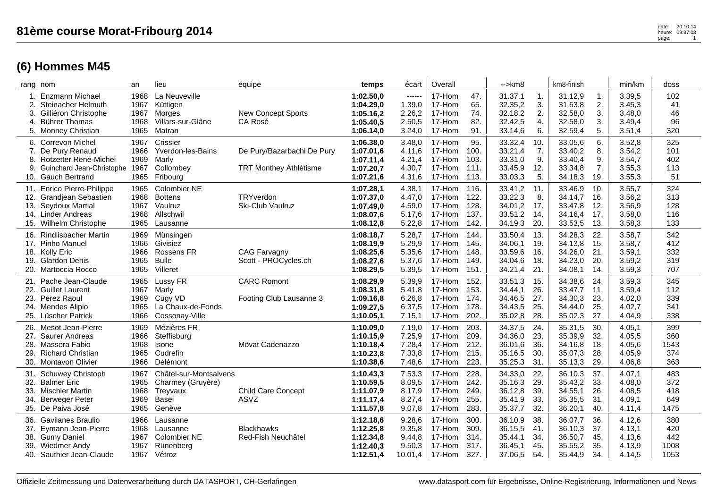| 81ème course Morat-Fribourg 2014 | date: 20.10.14<br>heure: 09:37:03 |
|----------------------------------|-----------------------------------|
|                                  |                                   |

|                          | rang nom                                                                                                                     | an                                   | lieu                                                                              | équipe                                                      | temps                                                         | écart                                           | Overall                                        |                                      | -->km8                                              |                                 | km8-finish                                          |                                 | min/km                                         | doss                              |
|--------------------------|------------------------------------------------------------------------------------------------------------------------------|--------------------------------------|-----------------------------------------------------------------------------------|-------------------------------------------------------------|---------------------------------------------------------------|-------------------------------------------------|------------------------------------------------|--------------------------------------|-----------------------------------------------------|---------------------------------|-----------------------------------------------------|---------------------------------|------------------------------------------------|-----------------------------------|
| 1.<br>3.                 | Enzmann Michael<br><b>Steinacher Helmuth</b><br>Gilliéron Christophe                                                         | 1968<br>1967<br>1967                 | La Neuveville<br>Küttigen<br>Morges                                               | <b>New Concept Sports</b>                                   | 1:02.50,0<br>1:04.29,0<br>1:05.16,2                           | ------<br>1.39,0<br>2.26,2                      | 17-Hom<br>17-Hom<br>17-Hom                     | 47.<br>65.<br>74.                    | 31.37,1<br>32.35,2<br>32.18,2                       | 1.<br>3.<br>2.                  | 31.12,9<br>31.53,8<br>32.58,0                       | $\mathbf{1}$ .<br>2.<br>3.      | 3.39,5<br>3.45,3<br>3.48,0                     | 102<br>41<br>46                   |
| 4.                       | <b>Bührer Thomas</b><br>5. Monney Christian                                                                                  | 1968<br>1965                         | Villars-sur-Glâne<br>Matran                                                       | CA Rosé                                                     | 1:05.40.5<br>1:06.14,0                                        | 2.50,5<br>3.24,0                                | 17-Hom<br>17-Hom                               | 82.<br>91.                           | 32.42,5<br>33.14,6                                  | 4.<br>6.                        | 32.58,0<br>32.59,4                                  | 3.<br>5.                        | 3.49,4<br>3.51,4                               | 96<br>320                         |
| 6.<br>7.<br>9<br>10.     | <b>Correvon Michel</b><br>De Pury Renaud<br>Rotzetter René-Michel<br>Guinchard Jean-Christophe 1967<br><b>Gauch Bertrand</b> | 1967<br>1966<br>1969<br>1965         | Crissier<br><b>Yverdon-les-Bains</b><br>Marly<br>Collombey<br>Fribourg            | De Pury/Bazarbachi De Pury<br><b>TRT Monthey Athlétisme</b> | 1:06.38,0<br>1:07.01,6<br>1:07.11,4<br>1:07.20,7<br>1:07.21,6 | 3.48,0<br>4.11,6<br>4.21,4<br>4.30,7<br>4.31,6  | 17-Hom<br>17-Hom<br>17-Hom<br>17-Hom<br>17-Hom | 95.<br>100.<br>103.<br>111.<br>113.  | 33.32,4<br>33.21,4<br>33.31,0<br>33.45,9<br>33.03,3 | 10.<br>7.<br>9.<br>12.<br>5.    | 33.05,6<br>33.40,2<br>33.40,4<br>33.34,8<br>34.18,3 | 6.<br>8.<br>9.<br>7.<br>19.     | 3.52,8<br>3.54,2<br>3.54,7<br>3.55,3<br>3.55,3 | 325<br>101<br>402<br>113<br>51    |
| 11.<br>13.               | Enrico Pierre-Philippe<br>12. Grandjean Sebastien<br>Seydoux Martial<br>14. Linder Andreas<br>15. Wilhelm Christophe         | 1965<br>1968<br>1967<br>1968<br>1965 | Colombier NE<br><b>Bottens</b><br>Vaulruz<br>Allschwil<br>Lausanne                | TRYverdon<br>Ski-Club Vaulruz                               | 1:07.28,1<br>1:07.37,0<br>1:07.49,0<br>1:08.07,6<br>1:08.12,8 | 4.38,1<br>4.47,0<br>4.59,0<br>5.17,6<br>5.22,8  | 17-Hom<br>17-Hom<br>17-Hom<br>17-Hom<br>17-Hom | 116.<br>122.<br>128.<br>137.<br>142. | 33.41,2<br>33.22,3<br>34.01,2<br>33.51,2<br>34.19,3 | 11.<br>8.<br>17.<br>14.<br>20.  | 33.46,9<br>34.14,7<br>33.47,8<br>34.16,4<br>33.53,5 | 10.<br>16.<br>12.<br>17.<br>13. | 3.55,7<br>3.56,2<br>3.56,9<br>3.58,0<br>3.58,3 | 324<br>313<br>128<br>116<br>133   |
| 16.<br>19.               | <b>Rindlisbacher Martin</b><br>17. Pinho Manuel<br>18. Kolly Eric<br><b>Glardon Denis</b><br>20. Martoccia Rocco             | 1969<br>1966<br>1966<br>1965<br>1965 | Münsingen<br>Givisiez<br><b>Rossens FR</b><br><b>Bulle</b><br>Villeret            | <b>CAG Farvagny</b><br>Scott - PROCycles.ch                 | 1:08.18,7<br>1:08.19,9<br>1:08.25,6<br>1:08.27,6<br>1:08.29,5 | 5.28,7<br>5.29,9<br>5.35,6<br>5.37,6<br>5.39,5  | 17-Hom<br>17-Hom<br>17-Hom<br>17-Hom<br>17-Hom | 144.<br>145.<br>148.<br>149.<br>151. | 33.50,4<br>34.06,1<br>33.59,6<br>34.04,6<br>34.21,4 | 13.<br>19.<br>16.<br>18.<br>21. | 34.28,3<br>34.13,8<br>34.26,0<br>34.23,0<br>34.08,1 | 22.<br>15.<br>21.<br>20.<br>14. | 3.58,7<br>3.58,7<br>3.59,1<br>3.59,2<br>3.59,3 | 342<br>412<br>332<br>319<br>707   |
| 21.<br>23.<br>24.        | Pache Jean-Claude<br>22. Guillet Laurent<br>Perez Raoul<br>Mendes Alipio<br>25. Lüscher Patrick                              | 1965<br>1967<br>1969<br>1965<br>1966 | Lussy FR<br>Marly<br>Cugy VD<br>La Chaux-de-Fonds<br>Cossonay-Ville               | <b>CARC Romont</b><br>Footing Club Lausanne 3               | 1:08.29,9<br>1:08.31,8<br>1:09.16,8<br>1:09.27,5<br>1:10.05,1 | 5.39,9<br>5.41,8<br>6.26,8<br>6.37,5<br>7.15,1  | 17-Hom<br>17-Hom<br>17-Hom<br>17-Hom<br>17-Hom | 152.<br>153.<br>174.<br>178.<br>202. | 33.51,3<br>34.44,1<br>34.46,5<br>34.43,5<br>35.02,8 | 15.<br>26.<br>27.<br>25.<br>28. | 34.38,6<br>33.47,7<br>34.30,3<br>34.44,0<br>35.02,3 | 24.<br>11.<br>23.<br>25.<br>27. | 3.59,3<br>3.59,4<br>4.02,0<br>4.02,7<br>4.04,9 | 345<br>112<br>339<br>341<br>338   |
| 26.<br>28.<br>29.        | Mesot Jean-Pierre<br>27. Saurer Andreas<br>Massera Fabio<br><b>Richard Christian</b><br>30. Montavon Olivier                 | 1969<br>1966<br>1968<br>1965<br>1966 | Mézières FR<br>Steffisburg<br>Isone<br>Cudrefin<br>Delémont                       | Mövat Cadenazzo                                             | 1:10.09,0<br>1:10.15.9<br>1:10.18,4<br>1:10.23,8<br>1:10.38,6 | 7.19,0<br>7.25,9<br>7.28,4<br>7.33,8<br>7.48,6  | 17-Hom<br>17-Hom<br>17-Hom<br>17-Hom<br>17-Hom | 203.<br>209.<br>212.<br>215.<br>223. | 34.37,5<br>34.36,0<br>36.01,6<br>35.16,5<br>35.25,3 | 24.<br>23.<br>36.<br>30.<br>31. | 35.31,5<br>35.39,9<br>34.16,8<br>35.07,3<br>35.13,3 | 30.<br>32.<br>18.<br>28.<br>29. | 4.05,1<br>4.05,5<br>4.05,6<br>4.05,9<br>4.06,8 | 399<br>360<br>1543<br>374<br>363  |
| 31.<br>32.<br>33.<br>34. | <b>Schuwey Christoph</b><br><b>Balmer Eric</b><br><b>Mischler Martin</b><br><b>Berweger Peter</b><br>35. De Paiva José       | 1967<br>1965<br>1968<br>1969<br>1965 | Châtel-sur-Montsalvens<br>Charmey (Gruyère)<br>Treyvaux<br><b>Basel</b><br>Genève | <b>Child Care Concept</b><br>ASVZ                           | 1:10.43,3<br>1:10.59,5<br>1:11.07,9<br>1:11.17,4<br>1:11.57,8 | 7.53,3<br>8.09,5<br>8.17,9<br>8.27,4<br>9.07,8  | 17-Hom<br>17-Hom<br>17-Hom<br>17-Hom<br>17-Hom | 228.<br>242.<br>249.<br>255.<br>283. | 34.33,0<br>35.16,3<br>36.12,8<br>35.41,9<br>35.37,7 | 22.<br>29.<br>39.<br>33.<br>32. | 36.10,3<br>35.43,2<br>34.55,1<br>35.35,5<br>36.20,1 | 37.<br>33.<br>26.<br>31.<br>40. | 4.07,1<br>4.08,0<br>4.08,5<br>4.09,1<br>4.11,4 | 483<br>372<br>418<br>649<br>1475  |
| 36.<br>37.<br>38.<br>39. | Gavilanes Braulio<br>Eymann Jean-Pierre<br><b>Gumy Daniel</b><br><b>Wiedmer Andy</b><br>40. Sauthier Jean-Claude             | 1966<br>1968<br>1967<br>1967<br>1967 | Lausanne<br>Lausanne<br>Colombier NE<br>Rünenberg<br>Vétroz                       | <b>Blackhawks</b><br>Red-Fish Neuchâtel                     | 1:12.18,6<br>1:12.25,8<br>1:12.34,8<br>1:12.40,3<br>1:12.51,4 | 9.28,6<br>9.35,8<br>9.44,8<br>9.50,3<br>10.01,4 | 17-Hom<br>17-Hom<br>17-Hom<br>17-Hom<br>17-Hom | 300.<br>309.<br>314.<br>317.<br>327. | 36.10,9<br>36.15,5<br>35.44,1<br>36.45,1<br>37.06,5 | 38.<br>41.<br>34.<br>45.<br>54. | 36.07,7<br>36.10,3<br>36.50,7<br>35.55,2<br>35.44,9 | 36.<br>37.<br>45.<br>35.<br>34. | 4.12,6<br>4.13,1<br>4.13,6<br>4.13,9<br>4.14,5 | 380<br>420<br>442<br>1008<br>1053 |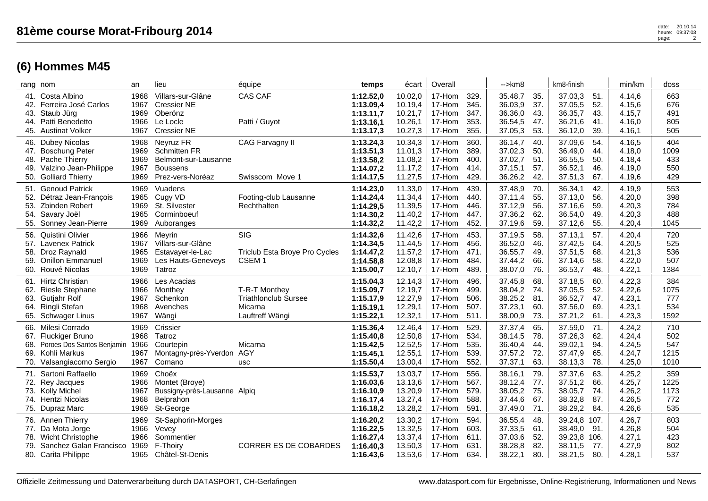| 41.  Costa Albino<br>42. Ferreira José Carlos<br>43. Staub Jürg<br>44. Patti Benedetto<br>45. Austinat Volker                    | 1968<br>1967<br>1969<br>1966<br>1967 | Villars-sur-Glâne<br><b>Cressier NE</b><br>Oberönz<br>Le Locle<br><b>Cressier NE</b>            | CAS CAF<br>Patti / Guyot                                                   | 1:12.52,0<br>1:13.09,4<br>1:13.11,7<br>1:13.16,1<br>1:13.17,3 | 10.02,0<br>10.19,4<br>10.21,7<br>10.26,1<br>10.27,3 | 17-Hom<br>17-Hom<br>17-Hom<br>17-Hom<br>17-Hom | 329.<br>345.<br>347.<br>353.<br>355. | 35.48,7<br>36.03,9<br>36.36,0<br>36.54,5<br>37.05,3 | 35.<br>37.<br>43.<br>47.<br>53. | 37.03,3<br>37.05,5<br>36.35,7<br>36.21,6<br>36.12,0      | 51.<br>52.<br>43.<br>41.<br>39. | 4.14,6<br>4.15,6<br>4.15,7<br>4.16,0<br>4.16,1 | 663<br>676<br>491<br>805<br>505   |
|----------------------------------------------------------------------------------------------------------------------------------|--------------------------------------|-------------------------------------------------------------------------------------------------|----------------------------------------------------------------------------|---------------------------------------------------------------|-----------------------------------------------------|------------------------------------------------|--------------------------------------|-----------------------------------------------------|---------------------------------|----------------------------------------------------------|---------------------------------|------------------------------------------------|-----------------------------------|
| 46. Dubey Nicolas<br>47. Boschung Peter<br>48. Pache Thierry<br>49. Valzino Jean-Philippe<br>50. Golliard Thierry                | 1968<br>1969<br>1969<br>1967<br>1969 | Neyruz FR<br><b>Schmitten FR</b><br>Belmont-sur-Lausanne<br><b>Boussens</b><br>Prez-vers-Noréaz | CAG Farvagny II<br>Swisscom Move 1                                         | 1:13.24,3<br>1:13.51,3<br>1:13.58,2<br>1:14.07,2<br>1:14.17,5 | 10.34,3<br>11.01,3<br>11.08,2<br>11.17,2<br>11.27,5 | 17-Hom<br>17-Hom<br>17-Hom<br>17-Hom<br>17-Hom | 360.<br>389.<br>400.<br>414.<br>429. | 36.14,7<br>37.02,3<br>37.02,7<br>37.15,1<br>36.26,2 | 40.<br>50.<br>51.<br>57.<br>42. | 37.09,6<br>36.49,0<br>36.55,5<br>36.52,1<br>37.51,3      | 54.<br>44.<br>50.<br>46.<br>67. | 4.16,5<br>4.18,0<br>4.18,4<br>4.19,0<br>4.19,6 | 404<br>1009<br>433<br>550<br>429  |
| 51. Genoud Patrick<br>52. Détraz Jean-François<br>53. Zbinden Robert<br>54. Savary Joël<br>55. Sonney Jean-Pierre                | 1969<br>1965<br>1969<br>1965<br>1969 | Vuadens<br>Cugy VD<br>St. Silvester<br>Corminboeuf<br>Auboranges                                | Footing-club Lausanne<br>Rechthalten                                       | 1:14.23,0<br>1:14.24,4<br>1:14.29,5<br>1:14.30,2<br>1:14.32,2 | 11.33,0<br>11.34,4<br>11.39,5<br>11.40,2<br>11.42,2 | 17-Hom<br>17-Hom<br>17-Hom<br>17-Hom<br>17-Hom | 439.<br>440.<br>446.<br>447.<br>452. | 37.48,9<br>37.11,4<br>37.12,9<br>37.36,2<br>37.19,6 | 70.<br>55.<br>56.<br>62.<br>59. | 36.34,1<br>37.13,0<br>37.16,6<br>36.54,0<br>37.12,6      | 42.<br>56.<br>59.<br>49.<br>55. | 4.19,9<br>4.20,0<br>4.20,3<br>4.20,3<br>4.20,4 | 553<br>398<br>784<br>488<br>1045  |
| 56. Quistini Olivier<br>57. Lavenex Patrick<br>58. Droz Raynald<br>59. Onillon Emmanuel<br>60. Rouvé Nicolas                     | 1966<br>1967<br>1965<br>1969<br>1969 | Meyrin<br>Villars-sur-Glâne<br>Estavayer-le-Lac<br>Les Hauts-Geneveys<br>Tatroz                 | SIG<br>Triclub Esta Broye Pro Cycles<br>CSEM <sub>1</sub>                  | 1:14.32,6<br>1:14.34,5<br>1:14.47,2<br>1:14.58,8<br>1:15.00,7 | 11.42,6<br>11.44,5<br>11.57,2<br>12.08,8<br>12.10,7 | 17-Hom<br>17-Hom<br>17-Hom<br>17-Hom<br>17-Hom | 453.<br>456.<br>471.<br>484.<br>489. | 37.19,5<br>36.52,0<br>36.55,7<br>37.44,2<br>38.07,0 | 58.<br>46.<br>49.<br>66.<br>76. | 37.13,1<br>37.42,5<br>37.51,5<br>37.14,6<br>36.53,7      | 57.<br>64.<br>68.<br>58.<br>48. | 4.20,4<br>4.20,5<br>4.21,3<br>4.22,0<br>4.22,1 | 720<br>525<br>536<br>507<br>1384  |
| 61. Hirtz Christian<br>62. Riesle Stephane<br>63. Gutjahr Rolf<br>64. Ringli Stefan<br>65. Schwager Linus                        | 1966<br>1966<br>1967<br>1968<br>1967 | Les Acacias<br>Monthey<br>Schenkon<br>Avenches<br>Wängi                                         | T-R-T Monthey<br><b>Triathlonclub Sursee</b><br>Micarna<br>Lauftreff Wängi | 1:15.04,3<br>1:15.09,7<br>1:15.17,9<br>1:15.19,1<br>1:15.22,1 | 12.14,3<br>12.19,7<br>12.27,9<br>12.29,1<br>12.32,1 | 17-Hom<br>17-Hom<br>17-Hom<br>17-Hom<br>17-Hom | 496.<br>499.<br>506.<br>507.<br>511. | 37.45,8<br>38.04,2<br>38.25,2<br>37.23,1<br>38.00,9 | 68.<br>74.<br>81.<br>60.<br>73. | 37.18,5<br>37.05,5<br>36.52,7<br>37.56,0<br>37.21,2      | 60.<br>52.<br>47.<br>69.<br>61. | 4.22,3<br>4.22,6<br>4.23,1<br>4.23,1<br>4.23,3 | 384<br>1075<br>777<br>534<br>1592 |
| 66. Milesi Corrado<br>67. Fluckiger Bruno<br>68. Poroes Dos Santos Benjamin 1966<br>69. Kohli Markus<br>70. Valsangiacomo Sergio | 1969<br>1968<br>1967<br>1967         | Crissier<br>Tatroz<br>Courtepin<br>Montagny-près-Yverdon AGY<br>Comano                          | Micarna<br>usc                                                             | 1:15.36,4<br>1:15.40,8<br>1:15.42,5<br>1:15.45.1<br>1:15.50,4 | 12.46,4<br>12.50,8<br>12.52,5<br>12.55,1<br>13.00,4 | 17-Hom<br>17-Hom<br>17-Hom<br>17-Hom<br>17-Hom | 529.<br>534.<br>535.<br>539.<br>552. | 37.37,4<br>38.14,5<br>36.40,4<br>37.57,2<br>37.37,1 | 65.<br>78.<br>44.<br>72.<br>63. | 37.59,0<br>37.26,3<br>39.02,1<br>37.47,9<br>38.13,3      | 71.<br>62.<br>94.<br>65.<br>78. | 4.24,2<br>4.24,4<br>4.24,5<br>4.24,7<br>4.25,0 | 710<br>502<br>547<br>1215<br>1010 |
| 71. Sartoni Raffaello<br>72. Rey Jacques<br>73. Kolly Michel<br>74. Hentzi Nicolas<br>75. Dupraz Marc                            | 1969<br>1966<br>1967<br>1968<br>1969 | Choëx<br>Montet (Broye)<br>Bussigny-près-Lausanne Alpiq<br>Belprahon<br>St-George               |                                                                            | 1:15.53,7<br>1:16.03,6<br>1:16.10,9<br>1:16.17,4<br>1:16.18,2 | 13.03,7<br>13.13,6<br>13.20,9<br>13.27,4<br>13.28,2 | 17-Hom<br>17-Hom<br>17-Hom<br>17-Hom<br>17-Hom | 556.<br>567.<br>579.<br>588.<br>591. | 38.16,1<br>38.12,4<br>38.05,2<br>37.44,6<br>37.49,0 | 79.<br>77.<br>75.<br>67.<br>71. | 37.37,6<br>37.51,2<br>38.05,7<br>38.32,8<br>38.29,2      | 63.<br>66.<br>74.<br>87.<br>84. | 4.25,2<br>4.25,7<br>4.26,2<br>4.26,5<br>4.26,6 | 359<br>1225<br>1173<br>772<br>535 |
| 76. Annen Thierry<br>77. Da Mota Jorge<br>78. Wicht Christophe<br>79. Sanchez Galan Francisco 1969<br>80. Carita Philippe        | 1969<br>1966<br>1966<br>1965         | St-Saphorin-Morges<br>Vevey<br>Sommentier<br>F-Thoirv<br>Châtel-St-Denis                        | <b>CORRER ES DE COBARDES</b>                                               | 1:16.20,2<br>1:16.22,5<br>1:16.27,4<br>1:16.40,3<br>1:16.43,6 | 13.30,2<br>13.32,5<br>13.37,4<br>13.50,3<br>13.53,6 | 17-Hom<br>17-Hom<br>17-Hom<br>17-Hom<br>17-Hom | 594.<br>603.<br>611.<br>631.<br>634. | 36.55,4<br>37.33,5<br>37.03,6<br>38.28,8<br>38.22,1 | 48.<br>61.<br>52.<br>82.<br>80. | 39.24,8<br>38.49,0<br>39.23,8 106.<br>38.11,5<br>38.21,5 | 107.<br>91.<br>77.<br>80.       | 4.26,7<br>4.26,8<br>4.27,1<br>4.27,9<br>4.28,1 | 803<br>504<br>423<br>802<br>537   |
|                                                                                                                                  |                                      |                                                                                                 |                                                                            |                                                               |                                                     |                                                |                                      |                                                     |                                 |                                                          |                                 |                                                |                                   |

rang nom an lieu équipe **temps** écart | Overall | -->km8 | km8-finish | min/km | doss

#### **(6) Hommes M45**

heure: 09:37:03 page: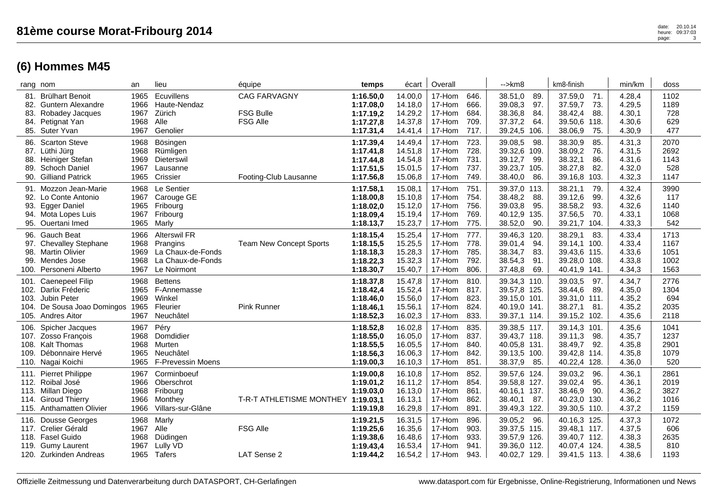| Offizielle Zeitmessung und Datenverarbeitung durch DATASPORT, CH-Gerlafingen | www.datasport.com für Ergebnisse, Online-Registrierung, Informationen und News |
|------------------------------------------------------------------------------|--------------------------------------------------------------------------------|
|                                                                              |                                                                                |

|      | rang nom                                  | an           | lieu                     | équipe                         | temps                  | écart   | Overall |              | -->km8                         | km8-finish      | min/km | doss |
|------|-------------------------------------------|--------------|--------------------------|--------------------------------|------------------------|---------|---------|--------------|--------------------------------|-----------------|--------|------|
| 81.  | <b>Brülhart Benoit</b>                    | 1965         | Ecuvillens               | <b>CAG FARVAGNY</b>            | 1:16.50,0              | 14.00,0 | 17-Hom  | 646.         | 38.51,0<br>89.                 | 37.59,0<br>71.  | 4.28,4 | 1102 |
|      | 82. Guntern Alexandre                     | 1966         | Haute-Nendaz             |                                | 1:17.08,0              | 14.18,0 | 17-Hom  | 666.         | 39.08,3<br>97.                 | 37.59,7<br>73.  | 4.29,5 | 1189 |
| 83.  | Robadey Jacques                           | 1967         | Zürich                   | <b>FSG Bulle</b>               | 1:17.19,2              | 14.29,2 | 17-Hom  | 684.         | 38.36,8<br>84.                 | 38.42,4<br>88.  | 4.30,1 | 728  |
| 84.  | Petignat Yan                              | 1968         | Alle                     | <b>FSG Alle</b>                | 1:17.27,8              | 14.37,8 | 17-Hom  | 709.         | 37.37,2<br>64.                 | 39.50,6<br>118. | 4.30,6 | 629  |
|      | 85. Suter Yvan                            | 1967         | Genolier                 |                                | 1:17.31,4              | 14.41,4 | 17-Hom  | 717.         | 39.24,5 106.                   | 38.06,9<br>75.  | 4.30,9 | 477  |
| 86.  | <b>Scarton Steve</b>                      | 1968         | Bösingen                 |                                | 1:17.39,4              | 14.49,4 | 17-Hom  | 723.         | 39.08,5<br>98.                 | 38.30,9<br>85.  | 4.31,3 | 2070 |
|      | 87. Lüthi Jürg                            | 1968         | Rümligen                 |                                | 1:17.41,8              | 14.51,8 | 17-Hom  | 728.         | 39.32,6 109.                   | 38.09,2<br>76.  | 4.31,5 | 2692 |
| 88.  | Heiniger Stefan                           | 1969         | Dieterswil               |                                | 1:17.44,8              | 14.54,8 | 17-Hom  | 731.         | 39.12,7<br>-99.                | 38.32,1<br>86.  | 4.31,6 | 1143 |
| 89.  | <b>Schoch Daniel</b>                      | 1967         | Lausanne                 |                                | 1:17.51,5              | 15.01,5 | 17-Hom  | 737.         | 39.23,7 105.                   | 38.27,8<br>82.  | 4.32,0 | 528  |
| 90.  | <b>Gilliand Patrick</b>                   | 1965         | Crissier                 | Footing-Club Lausanne          | 1:17.56,8              | 15.06,8 | 17-Hom  | 749.         | 38.40,0<br>86.                 | 39.16,8<br>103. | 4.32,3 | 1147 |
|      |                                           |              | Le Sentier               |                                |                        | 15.08,1 | 17-Hom  | 751.         |                                | 38.21,1<br>79.  | 4.32,4 | 3990 |
| 92.  | 91. Mozzon Jean-Marie<br>Lo Conte Antonio | 1968<br>1967 | Carouge GE               |                                | 1:17.58,1<br>1:18.00,8 | 15.10,8 | 17-Hom  | 754.         | 39.37,0 113.<br>88.<br>38.48,2 | 99.<br>39.12,6  | 4.32,6 | 117  |
|      |                                           | 1965         |                          |                                |                        | 15.12,0 | 17-Hom  | 756.         | 39.03,8<br>95.                 | 93.             | 4.32,6 | 1140 |
| 93.  | <b>Egger Daniel</b>                       |              | Fribourg                 |                                | 1:18.02,0              |         |         |              |                                | 38.58,2         |        | 1068 |
| 94.  | Mota Lopes Luis<br>95. Ouertani Imed      | 1967<br>1965 | Fribourg                 |                                | 1:18.09,4<br>1:18.13,7 | 15.19,4 | 17-Hom  | 769.<br>775. | 40.12,9 135.<br>90.            | 37.56,5<br>70.  | 4.33,1 | 542  |
|      |                                           |              | Marly                    |                                |                        | 15.23,7 | 17-Hom  |              | 38.52,0                        | 39.21,7<br>104. | 4.33,3 |      |
|      | 96. Gauch Beat                            | 1966         | <b>Alterswil FR</b>      |                                | 1:18.15,4              | 15.25,4 | 17-Hom  | 777.         | 39.46,3 120.                   | 38.29,1<br>83.  | 4.33,4 | 1713 |
| 97.  | <b>Chevalley Stephane</b>                 | 1968         | Prangins                 | <b>Team New Concept Sports</b> | 1:18.15,5              | 15.25,5 | 17-Hom  | 778.         | 94.<br>39.01,4                 | 39.14,1 100.    | 4.33,4 | 1167 |
|      | 98. Martin Olivier                        | 1969         | La Chaux-de-Fonds        |                                | 1:18.18,3              | 15.28,3 | 17-Hom  | 785.         | 38.34,7<br>83.                 | 39.43,6 115.    | 4.33,6 | 1051 |
| 99.  | Mendes Jose                               | 1968         | La Chaux-de-Fonds        |                                | 1:18.22,3              | 15.32,3 | 17-Hom  | 792.         | 38.54,3<br>91.                 | 39.28,0 108.    | 4.33,8 | 1002 |
|      | 100. Personeni Alberto                    | 1967         | Le Noirmont              |                                | 1:18.30,7              | 15.40,7 | 17-Hom  | 806.         | 37.48,8<br>69.                 | 40.41,9<br>141. | 4.34,3 | 1563 |
|      | 101. Caenepeel Filip                      | 1968         | <b>Bettens</b>           |                                | 1:18.37,8              | 15.47,8 | 17-Hom  | 810.         | 39.34,3 110.                   | 39.03,5<br>97.  | 4.34,7 | 2776 |
|      | 102. Darlix Fréderic                      | 1965         | F-Annemasse              |                                | 1:18.42,4              | 15.52,4 | 17-Hom  | 817.         | 39.57,8 125.                   | 38.44,6<br>89.  | 4.35,0 | 1304 |
| 103. | Jubin Peter                               | 1969         | Winkel                   |                                | 1:18.46,0              | 15.56,0 | 17-Hom  | 823.         | 39.15,0 101.                   | 39.31,0 111.    | 4.35,2 | 694  |
|      | 104. De Sousa Joao Domingos               | 1965         | Fleurier                 | Pink Runner                    | 1:18.46,1              | 15.56,1 | 17-Hom  | 824.         | 40.19,0 141.                   | 38.27,1<br>81.  | 4.35,2 | 2035 |
|      | 105. Andres Aitor                         | 1967         | Neuchâtel                |                                | 1:18.52,3              | 16.02,3 | 17-Hom  | 833.         | 39.37,1 114.                   | 39.15,2 102.    | 4.35,6 | 2118 |
| 106. | Spicher Jacques                           | 1967         | Péry                     |                                | 1:18.52,8              | 16.02,8 | 17-Hom  | 835.         | 39.38,5 117.                   | 39.14,3 101.    | 4.35,6 | 1041 |
| 107. | Zosso François                            | 1968         | Domdidier                |                                | 1:18.55,0              | 16.05,0 | 17-Hom  | 837.         | 39.43,7 118.                   | 39.11,3<br>98.  | 4.35,7 | 1237 |
|      | 108. Kalt Thomas                          | 1968         | Murten                   |                                | 1:18.55,5              | 16.05,5 | 17-Hom  | 840.         | 40.05,8 131.                   | 38.49,7<br>92.  | 4.35,8 | 2901 |
| 109. | Débonnaire Hervé                          | 1965         | Neuchâtel                |                                | 1:18.56,3              | 16.06,3 | 17-Hom  | 842.         | 39.13,5 100.                   | 39.42,8 114.    | 4.35,8 | 1079 |
|      | 110. Nagai Koichi                         | 1965         | <b>F-Prevessin Moens</b> |                                | 1:19.00,3              | 16.10,3 | 17-Hom  | 851.         | 38.37,9<br>85.                 | 40.22,4 128.    | 4.36,0 | 520  |
|      | 111. Pierret Philippe                     | 1967         | Corminboeuf              |                                | 1:19.00,8              | 16.10,8 | 17-Hom  | 852.         | 39.57,6 124.                   | 39.03,2<br>96.  | 4.36,1 | 2861 |
|      | 112. Roibal José                          | 1966         | Oberschrot               |                                | 1:19.01,2              | 16.11,2 | 17-Hom  | 854.         | 39.58,8 127.                   | 39.02,4<br>95.  | 4.36,1 | 2019 |
|      | 113. Millan Diego                         | 1968         | Fribourg                 |                                | 1:19.03,0              | 16.13,0 | 17-Hom  | 861.         | 40.16,1 137.                   | 38.46,9<br>90.  | 4.36,2 | 3827 |
| 114. | <b>Giroud Thierry</b>                     | 1966         | Monthey                  | T-R-T ATHLETISME MONTHEY       | 1:19.03,1              | 16.13,1 | 17-Hom  | 862.         | 38.40,1<br>87.                 | 40.23,0 130.    | 4.36,2 | 1016 |
|      | 115. Anthamatten Olivier                  | 1966         | Villars-sur-Glâne        |                                | 1:19.19,8              | 16.29,8 | 17-Hom  | 891.         | 39.49,3 122.                   | 39.30,5 110.    | 4.37,2 | 1159 |
|      | 116. Dousse Georges                       | 1968         | Marly                    |                                | 1:19.21,5              | 16.31,5 | 17-Hom  | 896.         | 39.05,2<br>96.                 | 40.16,3 125.    | 4.37,3 | 1072 |
|      | 117. Crelier Gérald                       | 1967         | Alle                     | <b>FSG Alle</b>                | 1:19.25,6              | 16.35,6 | 17-Hom  | 903.         | 39.37,5 115.                   | 39.48,1 117.    | 4.37,5 | 606  |
| 118. | <b>Fasel Guido</b>                        | 1968         | Düdingen                 |                                | 1:19.38,6              | 16.48,6 | 17-Hom  | 933.         | 39.57,9 126.                   | 39.40,7 112.    | 4.38,3 | 2635 |
| 119. | <b>Gumy Laurent</b>                       | 1967         | Lully VD                 |                                | 1:19.43,4              | 16.53,4 | 17-Hom  | 941.         | 39.36,0 112.                   | 40.07,4 124.    | 4.38,5 | 810  |
|      | 120. Zurkinden Andreas                    | 1965         | Tafers                   | LAT Sense 2                    | 1:19.44,2              | 16.54,2 | 17-Hom  | 943.         | 40.02,7 129.                   | 39.41,5 113.    | 4.38,6 | 1193 |
|      |                                           |              |                          |                                |                        |         |         |              |                                |                 |        |      |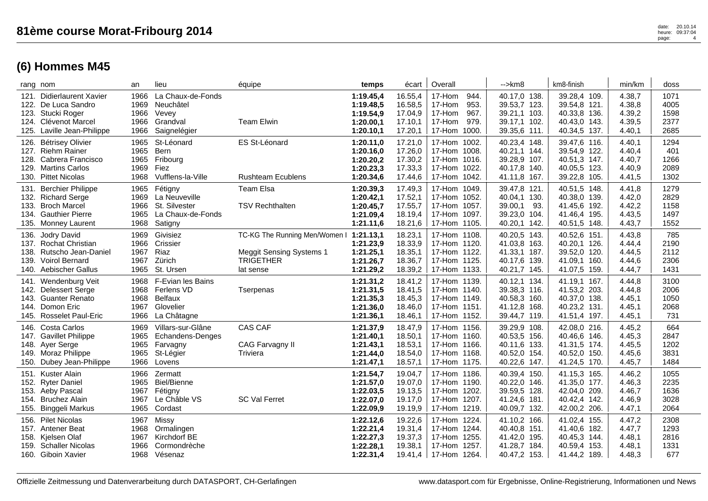|                      | rang nom                                                                                                               | an                                   | lieu                                                                            | équipe                                                                                            | temps                                                         | écart                                               | Overall                                                                                 | $\rightarrow$ km $\beta$                                                       | km8-finish                                                                   | min/km                                         | doss                                 |
|----------------------|------------------------------------------------------------------------------------------------------------------------|--------------------------------------|---------------------------------------------------------------------------------|---------------------------------------------------------------------------------------------------|---------------------------------------------------------------|-----------------------------------------------------|-----------------------------------------------------------------------------------------|--------------------------------------------------------------------------------|------------------------------------------------------------------------------|------------------------------------------------|--------------------------------------|
| 122.                 | 121. Didierlaurent Xavier<br>De Luca Sandro<br>123. Stucki Roger<br>124. Clévenot Marcel<br>125. Laville Jean-Philippe | 1966<br>1969<br>1966<br>1966<br>1966 | La Chaux-de-Fonds<br>Neuchâtel<br>Vevey<br>Grandval<br>Saignelégier             | <b>Team Elwin</b>                                                                                 | 1:19.45,4<br>1:19.48,5<br>1:19.54,9<br>1:20.00,1<br>1:20.10,1 | 16.55,4<br>16.58,5<br>17.04,9<br>17.10,1<br>17.20,1 | 17-Hom<br>944.<br>17-Hom<br>953.<br>17-Hom<br>967.<br>979.<br>17-Hom<br>17-Hom<br>1000. | 40.17,0 138.<br>39.53,7 123.<br>39.21,1 103.<br>39.17,1 102.<br>39.35,6 111.   | 39.28,4 109.<br>39.54,8 121.<br>40.33,8 136.<br>40.43,0 143.<br>40.34,5 137. | 4.38,7<br>4.38,8<br>4.39,2<br>4.39,5<br>4.40,1 | 1071<br>4005<br>1598<br>2377<br>2685 |
|                      | 126. Bétrisey Olivier<br>127. Riehm Rainer<br>128. Cabrera Francisco<br>129. Martins Carlos<br>130. Pittet Nicolas     | 1965<br>1965<br>1965<br>1969<br>1968 | St-Léonard<br>Bern<br>Fribourg<br>Fiez<br>Vufflens-la-Ville                     | ES St-Léonard<br><b>Rushteam Ecublens</b>                                                         | 1:20.11,0<br>1:20.16,0<br>1:20.20,2<br>1:20.23,3<br>1:20.34,6 | 17.21,0<br>17.26,0<br>17.30,2<br>17.33,3<br>17.44,6 | 17-Hom 1002.<br>17-Hom 1008.<br>17-Hom 1016.<br>17-Hom 1022.<br>17-Hom 1042.            | 40.23,4 148.<br>40.21,1 144.<br>39.28,9 107.<br>40.17,8 140.<br>41.11,8 167.   | 39.47,6 116.<br>39.54,9 122.<br>40.51,3 147.<br>40.05,5 123.<br>39.22,8 105. | 4.40,1<br>4.40,4<br>4.40,7<br>4.40,9<br>4.41,5 | 1294<br>401<br>1266<br>2089<br>1302  |
| 133.                 | 131. Berchier Philippe<br>132. Richard Serge<br><b>Broch Marcel</b><br>134. Gauthier Pierre<br>135. Monney Laurent     | 1965<br>1969<br>1966<br>1965<br>1968 | Fétigny<br>La Neuveville<br>St. Silvester<br>La Chaux-de-Fonds<br>Satigny       | Team Elsa<br><b>TSV Rechthalten</b>                                                               | 1:20.39,3<br>1:20.42,1<br>1:20.45,7<br>1:21.09,4<br>1:21.11,6 | 17.49,3<br>17.52,1<br>17.55,7<br>18.19,4<br>18.21,6 | 17-Hom 1049.<br>17-Hom 1052.<br>17-Hom 1057.<br>17-Hom 1097.<br>17-Hom 1105.            | 39.47,8 121.<br>40.04,1 130.<br>39.00,1<br>93.<br>39.23,0 104.<br>40.20,1 142. | 40.51,5 148.<br>40.38,0 139.<br>41.45,6 192.<br>41.46,4 195.<br>40.51,5 148. | 4.41,8<br>4.42,0<br>4.42,2<br>4.43,5<br>4.43,7 | 1279<br>2829<br>1158<br>1497<br>1552 |
| 136.<br>139.<br>140. | Jodry David<br>137. Rochat Christian<br>138. Rutscho Jean-Daniel<br><b>Voirol Bernard</b><br>Aebischer Gallus          | 1969<br>1966<br>1967<br>1967<br>1965 | Givisiez<br>Crissier<br>Riaz<br>Zürich<br>St. Ursen                             | TC-KG The Running Men/Women I<br><b>Meggit Sensing Systems 1</b><br><b>TRIGETHER</b><br>lat sense | 1:21.13,1<br>1:21.23,9<br>1:21.25,1<br>1:21.26,7<br>1:21.29,2 | 18.23,1<br>18.33,9<br>18.35,1<br>18.36,7<br>18.39,2 | 17-Hom 1108.<br>17-Hom 1120.<br>17-Hom 1122.<br>17-Hom 1125.<br>17-Hom 1133.            | 40.20,5 143.<br>41.03,8 163.<br>41.33,1 187.<br>40.17,6 139.<br>40.21,7 145.   | 40.52,6 151.<br>40.20,1 126.<br>39.52,0 120.<br>41.09.1 160.<br>41.07,5 159. | 4.43,8<br>4.44,4<br>4.44,5<br>4.44,6<br>4.44,7 | 785<br>2190<br>2112<br>2306<br>1431  |
| 141.<br>143.<br>144. | Wendenburg Veit<br>142. Delessert Serge<br><b>Guanter Renato</b><br>Domon Eric<br>145. Rosselet Paul-Eric              | 1968<br>1968<br>1968<br>1967<br>1966 | F-Evian les Bains<br>Ferlens VD<br><b>Belfaux</b><br>Glovelier<br>La Châtagne   | Tserpenas                                                                                         | 1:21.31,2<br>1:21.31,5<br>1:21.35,3<br>1:21.36,0<br>1:21.36,1 | 18.41,2<br>18.41,5<br>18.45,3<br>18.46,0<br>18.46,1 | 17-Hom 1139.<br>17-Hom 1140.<br>17-Hom 1149.<br>17-Hom 1151.<br>17-Hom 1152.            | 40.12,1 134.<br>39.38,3 116.<br>40.58,3 160.<br>41.12,8 168.<br>39.44,7 119.   | 41.19,1 167.<br>41.53,2 203.<br>40.37,0 138.<br>40.23,2 131.<br>41.51,4 197. | 4.44,8<br>4.44,8<br>4.45,1<br>4.45,1<br>4.45,1 | 3100<br>2006<br>1050<br>2068<br>731  |
| 146.<br>149.         | <b>Costa Carlos</b><br>147. Gavillet Philippe<br>148. Ayer Serge<br>Moraz Philippe<br>150. Dubey Jean-Philippe         | 1969<br>1965<br>1965<br>1965<br>1966 | Villars-sur-Glâne<br><b>Echandens-Denges</b><br>Farvagny<br>St-Légier<br>Lovens | CAS CAF<br>CAG Farvagny II<br>Triviera                                                            | 1:21.37,9<br>1:21.40,1<br>1:21.43,1<br>1:21.44,0<br>1:21.47,1 | 18.47,9<br>18.50,1<br>18.53,1<br>18.54,0<br>18.57,1 | 17-Hom 1156.<br>17-Hom 1160.<br>17-Hom 1166.<br>17-Hom 1168.<br>17-Hom 1175.            | 39.29,9 108.<br>40.53,5 156.<br>40.11,6 133.<br>40.52,0 154.<br>40.22,6 147.   | 42.08,0 216.<br>40.46,6 146.<br>41.31,5 174.<br>40.52,0 150.<br>41.24,5 170. | 4.45,2<br>4.45,3<br>4.45,5<br>4.45,6<br>4.45,7 | 664<br>2847<br>1202<br>3831<br>1484  |
| 151.<br>154.         | <b>Kuster Alain</b><br>152. Ryter Daniel<br>153. Aeby Pascal<br><b>Bruchez Alain</b><br>155. Binggeli Markus           | 1966<br>1965<br>1967<br>1967<br>1965 | Zermatt<br><b>Biel/Bienne</b><br>Fétigny<br>Le Châble VS<br>Cordast             | <b>SC Val Ferret</b>                                                                              | 1:21.54,7<br>1:21.57,0<br>1:22.03,5<br>1:22.07,0<br>1:22.09,9 | 19.04,7<br>19.07,0<br>19.13,5<br>19.17,0<br>19.19,9 | 17-Hom 1186.<br>17-Hom 1190.<br>17-Hom 1202.<br>17-Hom 1207.<br>17-Hom 1219.            | 40.39,4 150.<br>40.22,0 146.<br>39.59,5 128.<br>41.24,6 181.<br>40.09,7 132.   | 41.15,3 165.<br>41.35,0 177.<br>42.04,0 209.<br>40.42,4 142.<br>42.00,2 206. | 4.46,2<br>4.46,3<br>4.46,7<br>4.46,9<br>4.47,1 | 1055<br>2235<br>1636<br>3028<br>2064 |
| 156.<br>159.         | <b>Pilet Nicolas</b><br>157. Antener Beat<br>158. Kjelsen Olaf<br><b>Schaller Nicolas</b><br>160. Giboin Xavier        | 1967<br>1968<br>1967<br>1966<br>1968 | Missy<br>Ormalingen<br>Kirchdorf BE<br>Cormondrèche<br>Vésenaz                  |                                                                                                   | 1:22.12,6<br>1:22.21,4<br>1:22.27,3<br>1:22.28,1<br>1:22.31,4 | 19.22,6<br>19.31,4<br>19.37,3<br>19.38,1<br>19.41,4 | 17-Hom<br>1224.<br>17-Hom 1244.<br>17-Hom<br>1255.<br>1257.<br>17-Hom<br>17-Hom 1264.   | 41.10,2 166.<br>40.40,8 151.<br>41.42,0 195.<br>41.28,7 184.<br>40.47,2 153.   | 41.02,4 155.<br>41.40,6 182.<br>40.45,3 144.<br>40.59,4 153.<br>41.44,2 189. | 4.47,2<br>4.47,7<br>4.48,1<br>4.48,1<br>4.48,3 | 2308<br>1293<br>2816<br>1331<br>677  |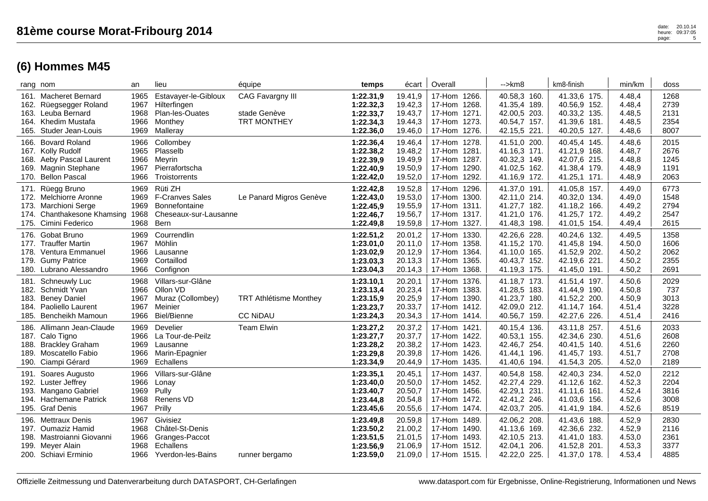|                      | rang nom                                                                                                                       | an                                   | lieu                                                                                              | équipe                                                 | temps                                                         | écart                                               | Overall                                                                         | $\rightarrow$ km $\beta$                                                        | km8-finish                                                                      | min/km                                         | doss                                 |
|----------------------|--------------------------------------------------------------------------------------------------------------------------------|--------------------------------------|---------------------------------------------------------------------------------------------------|--------------------------------------------------------|---------------------------------------------------------------|-----------------------------------------------------|---------------------------------------------------------------------------------|---------------------------------------------------------------------------------|---------------------------------------------------------------------------------|------------------------------------------------|--------------------------------------|
| 162.<br>165.         | 161. Macheret Bernard<br>Rüegsegger Roland<br>163. Leuba Bernard<br>164. Khedim Mustafa<br>Studer Jean-Louis                   | 1965<br>1967<br>1968<br>1966<br>1969 | Estavayer-le-Gibloux<br>Hilterfingen<br><b>Plan-les-Ouates</b><br>Monthey<br>Malleray             | CAG Favargny III<br>stade Genève<br><b>TRT MONTHEY</b> | 1:22.31,9<br>1:22.32,3<br>1:22.33,7<br>1:22.34,3<br>1:22.36,0 | 19.41,9<br>19.42,3<br>19.43,7<br>19.44,3<br>19.46,0 | 17-Hom 1266.<br>17-Hom 1268.<br>17-Hom 1271.<br>17-Hom 1273.<br>17-Hom 1276.    | 40.58,3 160.<br>41.35,4 189.<br>42.00,5 203.<br>40.54,7 157.<br>42.15,5 221.    | 41.33,6 175.<br>40.56,9 152.<br>40.33,2 135.<br>41.39,6 181.<br>40.20,5 127.    | 4.48,4<br>4.48,4<br>4.48,5<br>4.48,5<br>4.48,6 | 1268<br>2739<br>2131<br>2354<br>8007 |
| 170.                 | 166. Bovard Roland<br>167. Kolly Rudolf<br>168. Aeby Pascal Laurent<br>169. Magnin Stephane<br><b>Bellon Pascal</b>            | 1966<br>1965<br>1966<br>1967<br>1966 | Collombey<br>Plasselb<br>Meyrin<br>Pierrafortscha<br>Troistorrents                                |                                                        | 1:22.36,4<br>1:22.38,2<br>1:22.39,9<br>1:22.40,9<br>1:22.42,0 | 19.46,4<br>19.48,2<br>19.49,9<br>19.50,9<br>19.52,0 | 17-Hom 1278.<br>17-Hom 1281.<br>17-Hom 1287.<br>17-Hom 1290.<br>1292.<br>17-Hom | 41.51,0 200.<br>41.16,3 171.<br>40.32,3 149.<br>41.02,5 162.<br>41.16,9 172.    | 40.45,4 145.<br>41.21,9 168.<br>42.07,6 215.<br>41.38,4 179.<br>41.25,1 171.    | 4.48,6<br>4.48,7<br>4.48,8<br>4.48,9<br>4.48,9 | 2015<br>2676<br>1245<br>1191<br>2063 |
|                      | 171. Rüegg Bruno<br>172. Melchiorre Aronne<br>173. Marchioni Serge<br>174. Chanthakesone Khamsing 1968<br>175. Cimini Federico | 1969<br>1969<br>1969<br>1968         | Rüti ZH<br><b>F-Cranves Sales</b><br><b>Bonnefontaine</b><br>Cheseaux-sur-Lausanne<br><b>Bern</b> | Le Panard Migros Genève                                | 1:22.42,8<br>1:22.43,0<br>1:22.45,9<br>1:22.46,7<br>1:22.49,8 | 19.52,8<br>19.53,0<br>19.55,9<br>19.56,7<br>19.59,8 | 17-Hom 1296.<br>17-Hom 1300.<br>17-Hom 1311.<br>17-Hom 1317.<br>17-Hom 1327.    | 41.37,0 191.<br>42.11,0 214.<br>41.27,7 182.<br>41.21,0 176.<br>41.48,3 198.    | 41.05,8 157.<br>40.32,0 134.<br>41.18,2 166.<br>41.25,7 172.<br>41.01,5 154.    | 4.49,0<br>4.49,0<br>4.49,2<br>4.49,2<br>4.49,4 | 6773<br>1548<br>2794<br>2547<br>2615 |
|                      | 176. Gobat Bruno<br>177. Trauffer Martin<br>178. Ventura Emmanuel<br>179. Gumy Patrice<br>180. Lubrano Alessandro              | 1969<br>1967<br>1966<br>1969<br>1966 | Courrendlin<br>Möhlin<br>Lausanne<br>Cortaillod<br>Confignon                                      |                                                        | 1:22.51,2<br>1:23.01,0<br>1:23.02,9<br>1:23.03,3<br>1:23.04,3 | 20.01,2<br>20.11,0<br>20.12,9<br>20.13,3<br>20.14,3 | 17-Hom 1330.<br>17-Hom 1358.<br>17-Hom 1364.<br>17-Hom 1365.<br>17-Hom<br>1368. | 42.26,6 228.<br>41.15,2 170.<br>41.10,0 165.<br>40.43,7 152.<br>41.19,3 175.    | 40.24,6 132.<br>41.45,8 194.<br>41.52,9 202.<br>42.19,6<br>221.<br>41.45,0 191. | 4.49,5<br>4.50,0<br>4.50,2<br>4.50,2<br>4.50,2 | 1358<br>1606<br>2062<br>2355<br>2691 |
| 183.<br>184.<br>185. | 181. Schneuwly Luc<br>182. Schmidt Yvan<br><b>Beney Daniel</b><br>Paoliello Laurent<br>Bencheikh Mamoun                        | 1968<br>1966<br>1967<br>1967<br>1966 | Villars-sur-Glâne<br>Ollon VD<br>Muraz (Collombey)<br>Meinier<br><b>Biel/Bienne</b>               | <b>TRT Athlétisme Monthey</b><br><b>CC NiDAU</b>       | 1:23.10,1<br>1:23.13,4<br>1:23.15,9<br>1:23.23,7<br>1:23.24,3 | 20.20,1<br>20.23,4<br>20.25,9<br>20.33,7<br>20.34,3 | 17-Hom 1376.<br>17-Hom 1383.<br>17-Hom 1390.<br>17-Hom 1412.<br>17-Hom 1414.    | 41.18,7 173.<br>41.28,5 183.<br>41.23,7 180.<br>42.09,0 212.<br>40.56,7 159.    | 41.51,4 197.<br>41.44,9 190.<br>41.52,2 200.<br>41.14,7<br>164.<br>42.27,6 226. | 4.50,6<br>4.50,8<br>4.50,9<br>4.51,4<br>4.51,4 | 2029<br>737<br>3013<br>3228<br>2416  |
| 188.                 | 186. Allimann Jean-Claude<br>187. Calo Tigno<br><b>Brackley Graham</b><br>189. Moscatello Fabio<br>190. Ciampi Gérard          | 1969<br>1966<br>1969<br>1966<br>1969 | Develier<br>La Tour-de-Peilz<br>Lausanne<br>Marin-Epagnier<br>Echallens                           | <b>Team Elwin</b>                                      | 1:23.27,2<br>1:23.27,7<br>1:23.28,2<br>1:23.29,8<br>1:23.34,9 | 20.37,2<br>20.37,7<br>20.38,2<br>20.39,8<br>20.44,9 | 17-Hom 1421.<br>17-Hom 1422.<br>17-Hom 1423.<br>17-Hom 1426.<br>17-Hom 1435.    | 40.15,4 136.<br>40.53,1 155.<br>42.46,7 254.<br>41.44,1<br>196.<br>41.40,6 194. | 43.11,8 257.<br>42.34,6 230.<br>40.41,5 140.<br>41.45,7 193.<br>41.54,3 205.    | 4.51,6<br>4.51,6<br>4.51,6<br>4.51,7<br>4.52,0 | 2033<br>2608<br>2260<br>2708<br>2189 |
| 191.                 | Soares Augusto<br>192. Luster Jeffrey<br>193. Mangano Gabriel<br>194. Hachemane Patrick<br>195. Graf Denis                     | 1966<br>1966<br>1969<br>1968<br>1967 | Villars-sur-Glâne<br>Lonay<br>Pully<br>Renens VD<br>Prilly                                        |                                                        | 1:23.35,1<br>1:23.40,0<br>1:23.40,7<br>1:23.44,8<br>1:23.45,6 | 20.45,1<br>20.50,0<br>20.50,7<br>20.54,8<br>20.55,6 | 17-Hom 1437.<br>17-Hom 1452.<br>17-Hom 1456.<br>17-Hom 1472.<br>17-Hom 1474.    | 40.54,8 158.<br>42.27,4 229.<br>42.29,1 231.<br>42.41,2 246.<br>42.03,7 205.    | 42.40,3 234.<br>41.12,6 162.<br>41.11,6 161.<br>41.03,6<br>156.<br>41.41,9 184. | 4.52,0<br>4.52,3<br>4.52,4<br>4.52,6<br>4.52,6 | 2212<br>2204<br>3816<br>3008<br>8519 |
| 199.                 | 196. Mettraux Denis<br>197. Oumaziz Hamid<br>198. Mastroianni Giovanni<br>Meyer Alain<br>200. Schiavi Erminio                  | 1967<br>1968<br>1966<br>1968<br>1966 | Givisiez<br>Châtel-St-Denis<br>Granges-Paccot<br>Echallens<br>Yverdon-les-Bains                   | runner bergamo                                         | 1:23.49,8<br>1:23.50,2<br>1:23.51,5<br>1:23.56,9<br>1:23.59,0 | 20.59,8<br>21.00,2<br>21.01,5<br>21.06,9<br>21.09,0 | 17-Hom 1489.<br>17-Hom 1490.<br>17-Hom 1493.<br>17-Hom<br>1512.<br>17-Hom 1515. | 42.06,2 208.<br>41.13,6 169.<br>42.10,5 213.<br>42.04,1 206.<br>42.22,0 225.    | 41.43,6 188.<br>42.36,6 232.<br>41.41,0 183.<br>41.52,8<br>201.<br>41.37,0 178. | 4.52,9<br>4.52,9<br>4.53,0<br>4.53,3<br>4.53,4 | 2830<br>2116<br>2361<br>3377<br>4885 |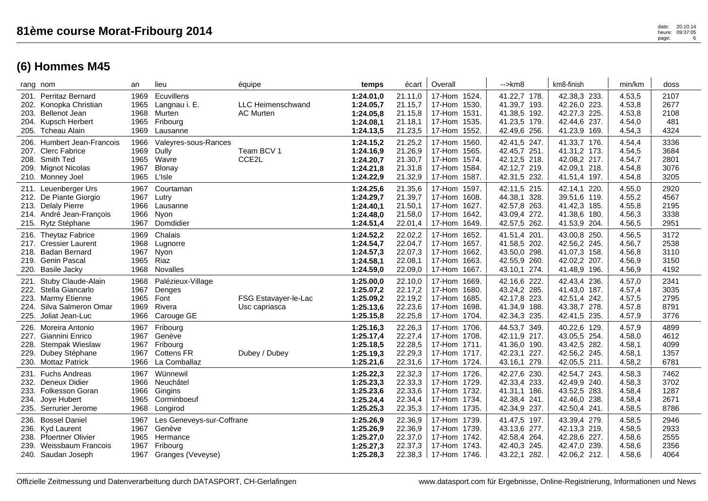|      | rang nom                                                                                                               | an                                   | lieu                                                                             | équipe                                       | temps                                                         | écart                                               | Overall                                                                         | -->km8                                                                       | km8-finish                                                                   | min/km                                         | doss                                 |
|------|------------------------------------------------------------------------------------------------------------------------|--------------------------------------|----------------------------------------------------------------------------------|----------------------------------------------|---------------------------------------------------------------|-----------------------------------------------------|---------------------------------------------------------------------------------|------------------------------------------------------------------------------|------------------------------------------------------------------------------|------------------------------------------------|--------------------------------------|
|      | 201. Perritaz Bernard<br>202. Konopka Christian<br>203. Bellenot Jean<br>204. Kupsch Herbert<br>205. Tcheau Alain      | 1969<br>1965<br>1968<br>1965<br>1969 | Ecuvillens<br>Langnau i. E.<br>Murten<br>Fribourg<br>Lausanne                    | <b>LLC Heimenschwand</b><br><b>AC Murten</b> | 1:24.01,0<br>1:24.05,7<br>1:24.05.8<br>1:24.08,1<br>1:24.13,5 | 21.11,0<br>21.15,7<br>21.15,8<br>21.18,1<br>21.23,5 | 17-Hom 1524.<br>17-Hom 1530.<br>17-Hom 1531.<br>17-Hom 1535.<br>17-Hom 1552.    | 41.22,7 178.<br>41.39,7 193.<br>41.38,5 192.<br>41.23,5 179.<br>42.49,6 256. | 42.38,3 233.<br>42.26,0 223.<br>42.27,3 225.<br>42.44,6 237.<br>41.23,9 169. | 4.53,5<br>4.53,8<br>4.53,8<br>4.54,0<br>4.54,3 | 2107<br>2677<br>2108<br>481<br>4324  |
|      | 206. Humbert Jean-Francois<br>207. Clerc Fabrice<br>208. Smith Ted<br>209. Mignot Nicolas<br>210. Monney Joel          | 1966<br>1969<br>1965<br>1967<br>1965 | Valeyres-sous-Rances<br>Dully<br>Wavre<br>Blonay<br>L'Isle                       | Team BCV 1<br>CCE <sub>2</sub> L             | 1:24.15,2<br>1:24.16,9<br>1:24.20,7<br>1:24.21,8<br>1:24.22,9 | 21.25,2<br>21.26,9<br>21.30,7<br>21.31,8<br>21.32,9 | 17-Hom 1560.<br>17-Hom 1565.<br>17-Hom 1574.<br>17-Hom 1584.<br>17-Hom 1587.    | 42.41,5 247.<br>42.45,7 251.<br>42.12,5 218.<br>42.12,7 219.<br>42.31,5 232. | 41.33,7 176.<br>41.31,2 173.<br>42.08,2 217.<br>42.09.1 218.<br>41.51,4 197. | 4.54,4<br>4.54,5<br>4.54,7<br>4.54,8<br>4.54,8 | 3336<br>3684<br>2801<br>3076<br>3205 |
|      | 211. Leuenberger Urs<br>212. De Piante Giorgio<br>213. Delaly Pierre<br>214. André Jean-Francois<br>215. Rytz Stéphane | 1967<br>1967<br>1966<br>1966<br>1967 | Courtaman<br>Lutry<br>Lausanne<br>Nyon<br>Domdidier                              |                                              | 1:24.25,6<br>1:24.29,7<br>1:24.40,1<br>1:24.48,0<br>1:24.51,4 | 21.35,6<br>21.39,7<br>21.50,1<br>21.58,0<br>22.01,4 | 17-Hom 1597.<br>17-Hom 1608.<br>17-Hom 1627.<br>17-Hom 1642.<br>17-Hom 1649.    | 42.11,5 215.<br>44.38,1 328.<br>42.57,8 263.<br>43.09,4 272.<br>42.57,5 262. | 42.14,1 220.<br>39.51,6 119.<br>41.42,3 185.<br>41.38,6 180.<br>41.53,9 204. | 4.55,0<br>4.55,2<br>4.55,8<br>4.56,3<br>4.56,5 | 2920<br>4567<br>2195<br>3338<br>2951 |
|      | 216. Theytaz Fabrice<br>217. Cressier Laurent<br>218. Badan Bernard<br>219. Genin Pascal<br>220. Basile Jacky          | 1969<br>1968<br>1967<br>1965<br>1968 | Chalais<br>Lugnorre<br>Nyon<br>Riaz<br>Novalles                                  |                                              | 1:24.52,2<br>1:24.54,7<br>1:24.57,3<br>1:24.58,1<br>1:24.59,0 | 22.02,2<br>22.04,7<br>22.07,3<br>22.08,1<br>22.09,0 | 17-Hom 1652.<br>17-Hom 1657.<br>17-Hom 1662.<br>17-Hom<br>1663.<br>17-Hom 1667. | 41.51,4 201.<br>41.58,5 202.<br>43.50,0 298.<br>42.55,9 260.<br>43.10,1 274. | 43.00,8 250.<br>42.56,2 245.<br>41.07,3 158.<br>42.02,2 207.<br>41.48,9 196. | 4.56,5<br>4.56,7<br>4.56,8<br>4.56,9<br>4.56,9 | 3172<br>2538<br>3110<br>3150<br>4192 |
| 224. | 221. Stuby Claude-Alain<br>222. Stella Giancarlo<br>223. Marmy Etienne<br>Silva Salmeron Omar<br>225. Joliat Jean-Luc  | 1968<br>1967<br>1965<br>1969<br>1966 | Palézieux-Village<br>Denges<br>Font<br>Rivera<br>Carouge GE                      | FSG Estavayer-le-Lac<br>Usc capriasca        | 1:25.00,0<br>1:25.07,2<br>1:25.09,2<br>1:25.13,6<br>1:25.15,8 | 22.10,0<br>22.17,2<br>22.19,2<br>22.23,6<br>22.25,8 | 17-Hom<br>1669.<br>17-Hom 1680.<br>17-Hom 1685.<br>17-Hom 1698.<br>17-Hom 1704. | 42.16,6 222.<br>43.24,2 285.<br>42.17,8 223.<br>41.34,9 188.<br>42.34,3 235. | 42.43,4 236.<br>41.43,0 187.<br>42.51,4 242.<br>43.38,7 278.<br>42.41,5 235. | 4.57,0<br>4.57,4<br>4.57,5<br>4.57,8<br>4.57,9 | 2341<br>3035<br>2795<br>8791<br>3776 |
|      | 226. Moreira Antonio<br>227. Giannini Enrico<br>228. Stempak Wieslaw<br>229. Dubey Stéphane<br>230. Mottaz Patrick     | 1967<br>1967<br>1967<br>1967<br>1966 | Fribourg<br>Genève<br>Fribourg<br><b>Cottens FR</b><br>La Comballaz              | Dubey / Dubey                                | 1:25.16,3<br>1:25.17,4<br>1:25.18,5<br>1:25.19,3<br>1:25.21,6 | 22.26,3<br>22.27,4<br>22.28,5<br>22.29,3<br>22.31,6 | 17-Hom 1706.<br>17-Hom 1708.<br>17-Hom 1711.<br>17-Hom 1717.<br>17-Hom 1724.    | 44.53,7 349.<br>42.11,9 217.<br>41.36,0 190.<br>42.23,1 227.<br>43.16,1 279. | 40.22,6 129.<br>43.05,5 254.<br>43.42,5 282.<br>42.56,2 245.<br>42.05,5 211. | 4.57,9<br>4.58,0<br>4.58,1<br>4.58,1<br>4.58,2 | 4899<br>4612<br>4099<br>1357<br>6781 |
|      | 231. Fuchs Andreas<br>232. Deneux Didier<br>233. Folkesson Goran<br>234. Joye Hubert<br>235. Serrurier Jerome          | 1967<br>1966<br>1966<br>1965<br>1968 | Wünnewil<br>Neuchâtel<br>Gingins<br>Corminboeuf<br>Longirod                      |                                              | 1:25.22,3<br>1:25.23,3<br>1:25.23,6<br>1:25.24,4<br>1:25.25,3 | 22.32,3<br>22.33,3<br>22.33,6<br>22.34,4<br>22.35,3 | 17-Hom 1726.<br>17-Hom 1729.<br>17-Hom 1732.<br>17-Hom 1734.<br>17-Hom 1735.    | 42.27,6 230.<br>42.33,4 233.<br>41.31,1 186.<br>42.38,4 241.<br>42.34,9 237. | 42.54,7 243.<br>42.49,9 240.<br>43.52,5 283.<br>42.46,0 238.<br>42.50,4 241. | 4.58,3<br>4.58,3<br>4.58,4<br>4.58,4<br>4.58,5 | 7462<br>3702<br>1287<br>2671<br>8786 |
|      | 236. Bossel Daniel<br>236. Kyd Laurent<br>238. Pfoertner Olivier<br>239. Weissbaum Francois<br>240. Saudan Joseph      | 1967<br>1967<br>1965<br>1967<br>1967 | Les Geneveys-sur-Coffrane<br>Genève<br>Hermance<br>Fribourg<br>Granges (Veveyse) |                                              | 1:25.26,9<br>1:25.26,9<br>1:25.27,0<br>1:25.27,3<br>1:25.28,3 | 22.36,9<br>22.36,9<br>22.37,0<br>22.37,3<br>22.38,3 | 17-Hom 1739.<br>17-Hom 1739.<br>17-Hom 1742.<br>17-Hom 1743.<br>17-Hom 1746.    | 41.47,5 197.<br>43.13,6 277.<br>42.58,4 264.<br>42.40,3 245.<br>43.22,1 282. | 43.39,4 279.<br>42.13,3 219.<br>42.28,6 227.<br>42.47,0 239.<br>42.06,2 212. | 4.58,5<br>4.58,5<br>4.58,6<br>4.58,6<br>4.58,6 | 2946<br>2933<br>2555<br>2356<br>4064 |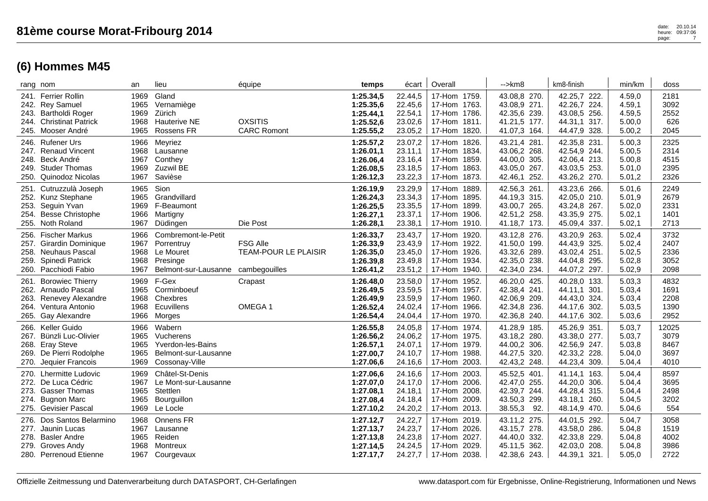| rang nom                                                                                                                        | an                                   | lieu                                                                               | équipe                                                          | temps                                                         | écart                                               | Overall                                                                            | $\rightarrow$ km $\alpha$                                                      | km8-finish                                                                   | min/km                                         | doss                                  |
|---------------------------------------------------------------------------------------------------------------------------------|--------------------------------------|------------------------------------------------------------------------------------|-----------------------------------------------------------------|---------------------------------------------------------------|-----------------------------------------------------|------------------------------------------------------------------------------------|--------------------------------------------------------------------------------|------------------------------------------------------------------------------|------------------------------------------------|---------------------------------------|
| 241. Ferrier Rollin<br>242. Rey Samuel<br>243. Bartholdi Roger<br>244. Christinat Patrick<br>245. Mooser André                  | 1969<br>1965<br>1969<br>1968<br>1965 | Gland<br>Vernamiège<br>Zürich<br><b>Hauterive NE</b><br>Rossens FR                 | <b>OXSITIS</b><br><b>CARC Romont</b>                            | 1:25.34,5<br>1:25.35,6<br>1:25.44,1<br>1:25.52,6<br>1:25.55,2 | 22.44,5<br>22.45,6<br>22.54,1<br>23.02,6<br>23.05,2 | 17-Hom 1759.<br>17-Hom 1763.<br>17-Hom 1786.<br>17-Hom 1811.<br>17-Hom<br>1820.    | 43.08,8 270.<br>43.08,9 271.<br>42.35,6 239.<br>41.21,5 177.<br>41.07,3 164.   | 42.25,7 222.<br>42.26,7 224.<br>43.08,5 256.<br>44.31,1 317.<br>44.47,9 328. | 4.59,0<br>4.59,1<br>4.59,5<br>5.00,0<br>5.00,2 | 2181<br>3092<br>2552<br>626<br>2045   |
| 246. Rufener Urs<br>247. Renaud Vincent<br>248. Beck André<br>249. Studer Thomas<br>250. Quinodoz Nicolas                       | 1966<br>1968<br>1967<br>1969<br>1967 | Meyriez<br>Lausanne<br>Conthey<br>Zuzwil BE<br>Savièse                             |                                                                 | 1:25.57,2<br>1:26.01,1<br>1:26.06,4<br>1:26.08,5<br>1:26.12,3 | 23.07,2<br>23.11,1<br>23.16,4<br>23.18,5<br>23.22,3 | 17-Hom 1826.<br>17-Hom 1834.<br>17-Hom 1859.<br>17-Hom 1863.<br>17-Hom 1873.       | 43.21,4 281.<br>43.06,2 268.<br>44.00,0 305.<br>43.05,0 267.<br>42.46,1 252.   | 42.35,8 231.<br>42.54,9 244.<br>42.06,4 213.<br>43.03,5 253.<br>43.26,2 270. | 5.00,3<br>5.00,5<br>5.00,8<br>5.01,0<br>5.01,2 | 2325<br>2314<br>4515<br>2395<br>2326  |
| 251. Cutruzzulà Joseph<br>252. Kunz Stephane<br>253. Seguin Yvan<br>254. Besse Christophe<br>255. Noth Roland                   | 1965<br>1965<br>1969<br>1966<br>1967 | Sion<br>Grandvillard<br>F-Beaumont<br>Martigny<br>Düdingen                         | Die Post                                                        | 1:26.19,9<br>1:26.24,3<br>1:26.25,5<br>1:26.27,1<br>1:26.28,1 | 23.29,9<br>23.34,3<br>23.35,5<br>23.37,1<br>23.38,1 | 17-Hom 1889.<br>17-Hom 1895.<br>17-Hom 1899.<br>17-Hom 1906.<br>17-Hom 1910.       | 42.56,3 261.<br>44.19,3 315.<br>43.00,7 265.<br>42.51,2 258.<br>41.18,7 173.   | 43.23,6 266.<br>42.05,0 210.<br>43.24,8 267.<br>43.35,9 275.<br>45.09,4 337. | 5.01,6<br>5.01,9<br>5.02,0<br>5.02,1<br>5.02,1 | 2249<br>2679<br>2331<br>1401<br>2713  |
| 256. Fischer Markus<br>257.<br><b>Girardin Dominique</b><br>258. Neuhaus Pascal<br>259. Spinedi Patrick<br>260. Pacchiodi Fabio | 1966<br>1967<br>1968<br>1968<br>1967 | Combremont-le-Petit<br>Porrentruy<br>Le Mouret<br>Presinge<br>Belmont-sur-Lausanne | <b>FSG Alle</b><br><b>TEAM-POUR LE PLAISIR</b><br>cambegouilles | 1:26.33,7<br>1:26.33,9<br>1:26.35,0<br>1:26.39,8<br>1:26.41,2 | 23.43,7<br>23.43,9<br>23.45,0<br>23.49,8<br>23.51,2 | 17-Hom 1920.<br>17-Hom 1922.<br>17-Hom 1926.<br>17-Hom 1934.<br>17-Hom 1940.       | 43.12,8 276.<br>41.50,0 199.<br>43.32,6 289.<br>42.35,0 238.<br>42.34,0 234.   | 43.20,9 263.<br>44.43,9 325.<br>43.02,4 251.<br>44.04,8 295.<br>44.07,2 297. | 5.02,4<br>5.02,4<br>5.02,5<br>5.02,8<br>5.02,9 | 3732<br>2407<br>2336<br>3052<br>2098  |
| 261. Borowiec Thierry<br>262. Arnaudo Pascal<br>263. Renevey Alexandre<br>264. Ventura Antonio<br>265. Gay Alexandre            | 1969<br>1965<br>1968<br>1968<br>1966 | F-Gex<br>Corminboeuf<br>Chexbres<br>Ecuvillens<br>Morges                           | Crapast<br>OMEGA 1                                              | 1:26.48,0<br>1:26.49,5<br>1:26.49,9<br>1:26.52,4<br>1:26.54,4 | 23.58,0<br>23.59,5<br>23.59,9<br>24.02,4<br>24.04,4 | 17-Hom 1952.<br>17-Hom 1957.<br>17-Hom 1960.<br>17-Hom 1966.<br>17-Hom 1970.       | 46.20,0 425.<br>42.38,4 241.<br>42.06,9 209.<br>42.34,8 236.<br>42.36,8 240.   | 40.28,0 133.<br>44.11.1 301.<br>44.43,0 324.<br>44.17,6 302.<br>44.17,6 302. | 5.03,3<br>5.03,4<br>5.03,4<br>5.03,5<br>5.03,6 | 4832<br>1691<br>2208<br>1390<br>2952  |
| 266. Keller Guido<br>267. Bünzli Luc-Olivier<br>268. Eray Steve<br>269. De Pierri Rodolphe<br>270. Jequier Francois             | 1966<br>1965<br>1965<br>1965<br>1969 | Wabern<br>Vucherens<br>Yverdon-les-Bains<br>Belmont-sur-Lausanne<br>Cossonay-Ville |                                                                 | 1:26.55,8<br>1:26.56,2<br>1:26.57,1<br>1:27.00,7<br>1:27.06,6 | 24.05,8<br>24.06,2<br>24.07,1<br>24.10,7<br>24.16,6 | 17-Hom 1974.<br>17-Hom 1975.<br>17-Hom 1979.<br>17-Hom 1988.<br>17-Hom 2003.       | 41.28,9 185.<br>43.18,2 280.<br>44.00,2 306.<br>44.27,5 320.<br>42.43,2 248.   | 45.26,9 351.<br>43.38,0 277.<br>42.56,9 247.<br>42.33,2 228.<br>44.23,4 309. | 5.03,7<br>5.03,7<br>5.03,8<br>5.04,0<br>5.04,4 | 12025<br>3079<br>8467<br>3697<br>4010 |
| 270. Lhermitte Ludovic<br>272. De Luca Cédric<br>273. Gasser Thomas<br>274. Bugnon Marc<br>275. Gevisier Pascal                 | 1969<br>1967<br>1965<br>1965<br>1969 | Châtel-St-Denis<br>Le Mont-sur-Lausanne<br>Stettlen<br>Bourguillon<br>Le Locle     |                                                                 | 1:27.06,6<br>1:27.07,0<br>1:27.08,1<br>1:27.08,4<br>1:27.10,2 | 24.16,6<br>24.17,0<br>24.18,1<br>24.18,4<br>24.20,2 | 17-Hom 2003.<br>17-Hom 2006.<br>17-Hom<br>2008.<br>17-Hom 2009.<br>17-Hom 2013.    | 45.52,5 401.<br>42.47,0 255.<br>42.39,7 244.<br>43.50,3 299.<br>38.55,3<br>92. | 41.14,1 163.<br>44.20,0 306.<br>44.28,4 315.<br>43.18,1 260.<br>48.14,9 470. | 5.04,4<br>5.04,4<br>5.04,4<br>5.04,5<br>5.04,6 | 8597<br>3695<br>2498<br>3202<br>554   |
| 276. Dos Santos Belarmino<br>277. Jaunin Lucas<br>278.<br><b>Basler Andre</b><br>279. Groves Andy<br>280. Perrenoud Etienne     | 1968<br>1967<br>1965<br>1968<br>1967 | Onnens FR<br>Lausanne<br>Reiden<br>Montreux<br>Courgevaux                          |                                                                 | 1:27.12,7<br>1:27.13,7<br>1:27.13,8<br>1:27.14,5<br>1:27.17,7 | 24.22,7<br>24.23,7<br>24.23,8<br>24.24,5<br>24.27,7 | 17-Hom 2019.<br>17-Hom 2026.<br>2027.<br>17-Hom<br>2029.<br>17-Hom<br>17-Hom 2038. | 43.11,2 275.<br>43.15,7 278.<br>44.40,0 332.<br>45.11,5 362.<br>42.38,6 243.   | 44.01,5 292.<br>43.58,0 286.<br>42.33,8 229.<br>42.03,0 208.<br>44.39,1 321. | 5.04,7<br>5.04,8<br>5.04,8<br>5.04,8<br>5.05,0 | 3058<br>1519<br>4002<br>3986<br>2722  |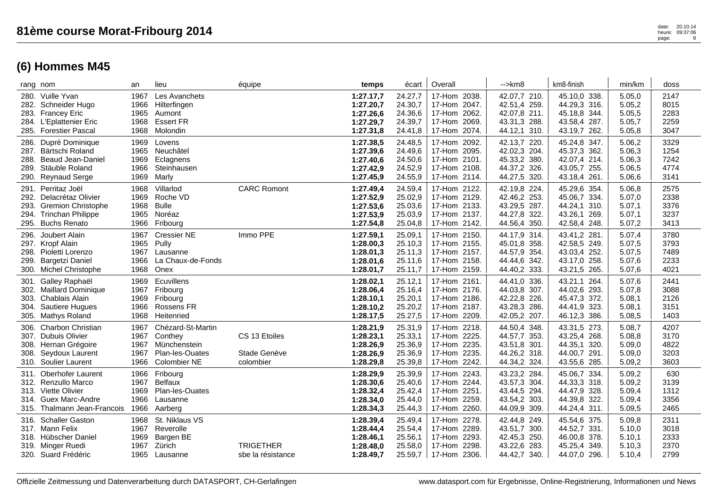| rang nom                                                                                                                                       | an                                   | lieu                                                                                   | équipe                                     | temps                                                         | écart l                                             | Overall                                                                         | -->km8                                                                       | km8-finish                                                                   | min/km                                         | doss                                 |
|------------------------------------------------------------------------------------------------------------------------------------------------|--------------------------------------|----------------------------------------------------------------------------------------|--------------------------------------------|---------------------------------------------------------------|-----------------------------------------------------|---------------------------------------------------------------------------------|------------------------------------------------------------------------------|------------------------------------------------------------------------------|------------------------------------------------|--------------------------------------|
| 280. Vuille Yvan<br>Schneider Hugo<br>282.<br>283. Francey Eric<br>284. L'Eplattenier Eric<br>285. Forestier Pascal                            | 1967<br>1966<br>1965<br>1968<br>1968 | Les Avanchets<br>Hilterfingen<br>Aumont<br><b>Essert FR</b><br>Molondin                |                                            | 1:27.17,7<br>1:27.20,7<br>1:27.26,6<br>1:27.29,7<br>1:27.31,8 | 24.27,7<br>24.30,7<br>24.36,6<br>24.39,7<br>24.41,8 | 17-Hom 2038.<br>17-Hom 2047.<br>17-Hom 2062.<br>17-Hom 2069.<br>17-Hom 2074.    | 42.07,7 210.<br>42.51,4 259.<br>42.07,8 211.<br>43.31,3 288.<br>44.12,1 310. | 45.10,0 338.<br>44.29,3 316.<br>45.18,8 344.<br>43.58,4 287.<br>43.19,7 262. | 5.05,0<br>5.05,2<br>5.05,5<br>5.05,7<br>5.05,8 | 2147<br>8015<br>2283<br>2259<br>3047 |
| 286. Dupré Dominique<br>Bärtschi Roland<br>287.<br>288. Beaud Jean-Daniel<br>Stäuble Roland<br>289.<br>290. Reynaud Serge                      | 1969<br>1965<br>1969<br>1966<br>1969 | Lovens<br>Neuchâtel<br>Eclagnens<br>Steinhausen<br>Marly                               |                                            | 1:27.38,5<br>1:27.39,6<br>1:27.40,6<br>1:27.42,9<br>1:27.45,9 | 24.48,5<br>24.49,6<br>24.50,6<br>24.52,9<br>24.55,9 | 17-Hom 2092.<br>17-Hom 2095.<br>17-Hom 2101.<br>17-Hom 2108.<br>17-Hom 2114.    | 42.13,7 220.<br>42.02,3 204.<br>45.33,2 380.<br>44.37,2 326.<br>44.27,5 320. | 45.24,8 347.<br>45.37,3 362.<br>42.07,4 214.<br>43.05,7 255.<br>43.18,4 261. | 5.06,2<br>5.06,3<br>5.06,3<br>5.06,5<br>5.06,6 | 3329<br>1254<br>7242<br>4774<br>3141 |
| 291. Perritaz Joël<br>292.<br>Delacrétaz Olivier<br><b>Gremion Christophe</b><br>293.<br>294. Trinchan Philippe<br><b>Buchs Renato</b><br>295. | 1968<br>1969<br>1968<br>1965<br>1966 | Villarlod<br>Roche VD<br><b>Bulle</b><br>Noréaz<br>Fribourg                            | <b>CARC Romont</b>                         | 1:27.49,4<br>1:27.52,9<br>1:27.53,6<br>1:27.53,9<br>1:27.54,8 | 24.59,4<br>25.02,9<br>25.03,6<br>25.03,9<br>25.04,8 | 17-Hom 2122.<br>17-Hom 2129.<br>17-Hom 2133.<br>17-Hom 2137.<br>17-Hom 2142.    | 42.19,8 224<br>42.46,2 253.<br>43.29,5 287.<br>44.27,8 322.<br>44.56,4 350.  | 45.29,6 354.<br>45.06,7 334.<br>44.24,1 310.<br>43.26,1 269.<br>42.58,4 248. | 5.06,8<br>5.07,0<br>5.07,1<br>5.07,1<br>5.07,2 | 2575<br>2338<br>3376<br>3237<br>3413 |
| Joubert Alain<br>296.<br>297. Kropf Alain<br>298. Pioletti Lorenzo<br>299. Bargetzi Daniel<br>300. Michel Christophe                           | 1967<br>1965<br>1967<br>1966<br>1968 | <b>Cressier NE</b><br>Pully<br>Lausanne<br>La Chaux-de-Fonds<br>Onex                   | Immo PPE                                   | 1:27.59,1<br>1:28.00,3<br>1:28.01,3<br>1:28.01,6<br>1:28.01,7 | 25.09,1<br>25.10,3<br>25.11,3<br>25.11,6<br>25.11,7 | 17-Hom 2150.<br>17-Hom 2155.<br>17-Hom 2157.<br>17-Hom 2158.<br>17-Hom 2159.    | 44.17,9 314.<br>45.01,8 358.<br>44.57,9 354.<br>44.44,6 342.<br>44.40,2 333. | 43.41,2 281.<br>42.58,5 249.<br>43.03,4 252.<br>43.17,0 258.<br>43.21,5 265. | 5.07,4<br>5.07,5<br>5.07,5<br>5.07,6<br>5.07,6 | 3780<br>3793<br>7489<br>2233<br>4021 |
| 301. Galley Raphaël<br>302. Maillard Dominique<br>303. Chablais Alain<br>Sautiere Hugues<br>304.<br>305. Mathys Roland                         | 1969<br>1967<br>1969<br>1966<br>1968 | Ecuvillens<br>Fribourg<br>Fribourg<br>Rossens FR<br>Heitenried                         |                                            | 1:28.02,1<br>1:28.06,4<br>1:28.10,1<br>1:28.10,2<br>1:28.17,5 | 25.12,1<br>25.16,4<br>25.20,1<br>25.20,2<br>25.27,5 | 17-Hom 2161.<br>17-Hom 2176.<br>17-Hom 2186.<br>17-Hom 2187.<br>17-Hom 2209.    | 44.41,0 336.<br>44.03,8 307.<br>42.22,8 226.<br>43.28,3 286.<br>42.05,2 207. | 43.21,1 264.<br>44.02,6 293.<br>45.47,3 372.<br>44.41,9 323.<br>46.12,3 386. | 5.07,6<br>5.07,8<br>5.08,1<br>5.08,1<br>5.08,5 | 2441<br>3088<br>2126<br>3151<br>1403 |
| 306. Charbon Christian<br>307. Dubuis Olivier<br>308. Hernan Grégoire<br>308. Seydoux Laurent<br>310. Soulier Laurent                          | 1967<br>1967<br>1967<br>1967<br>1966 | Chézard-St-Martin<br>Conthey<br>Münchenstein<br>Plan-les-Ouates<br><b>Colombier NE</b> | CS 13 Etoiles<br>Stade Genève<br>colombier | 1:28.21,9<br>1:28.23,1<br>1:28.26,9<br>1:28.26,9<br>1:28.29,8 | 25.31,9<br>25.33,1<br>25.36,9<br>25.36,9<br>25.39,8 | 17-Hom 2218.<br>17-Hom 2225.<br>17-Hom 2235.<br>17-Hom 2235.<br>17-Hom 2242.    | 44.50,4 348.<br>44.57,7 353.<br>43.51,8 301.<br>44.26,2 318.<br>44.34,2 324. | 43.31,5 273.<br>43.25,4 268.<br>44.35,1 320.<br>44.00,7 291.<br>43.55,6 285. | 5.08,7<br>5.08,8<br>5.09,0<br>5.09,0<br>5.09,2 | 4207<br>3170<br>4822<br>3203<br>3603 |
| <b>Oberhofer Laurent</b><br>311.<br>312. Renzullo Marco<br>313. Viette Olivier<br>Guex Marc-Andre<br>314.<br>315. Thalmann Jean-Francois       | 1966<br>1967<br>1969<br>1966<br>1966 | Fribourg<br><b>Belfaux</b><br>Plan-les-Ouates<br>Lausanne<br>Aarberg                   |                                            | 1:28.29,9<br>1:28.30,6<br>1:28.32,4<br>1:28.34,0<br>1:28.34,3 | 25.39,9<br>25.40,6<br>25.42,4<br>25.44,0<br>25.44,3 | 17-Hom 2243.<br>17-Hom 2244.<br>17-Hom 2251.<br>2259.<br>17-Hom<br>17-Hom 2260. | 43.23,2 284<br>43.57,3 304.<br>43.44,5 294.<br>43.54,2 303.<br>44.09,9 309.  | 45.06,7 334.<br>44.33,3 318.<br>44.47,9 328.<br>44.39,8 322.<br>44.24,4 311. | 5.09,2<br>5.09,2<br>5.09,4<br>5.09,4<br>5.09,5 | 630<br>3139<br>1312<br>3356<br>2465  |
| 316. Schaller Gaston<br>317. Mann Felix<br>318. Hübscher Daniel<br>319. Minger Ruedi<br>320. Suard Frédéric                                    | 1968<br>1967<br>1969<br>1967<br>1965 | St. Niklaus VS<br>Reverolle<br>Bargen BE<br>Zürich<br>Lausanne                         | <b>TRIGETHER</b><br>sbe la résistance      | 1:28.39,4<br>1:28.44,4<br>1:28.46,1<br>1:28.48,0<br>1:28.49,7 | 25.49,4<br>25.54,4<br>25.56,1<br>25.58,0<br>25.59,7 | 17-Hom 2278.<br>17-Hom 2289.<br>17-Hom 2293.<br>2298.<br>17-Hom<br>17-Hom 2306. | 42.44,8 249.<br>43.51,7 300.<br>42.45,3 250.<br>43.22,6 283.<br>44.42,7 340. | 45.54,6 375.<br>44.52,7 331.<br>46.00,8 378.<br>45.25,4 349.<br>44.07,0 296. | 5.09,8<br>5.10,0<br>5.10,1<br>5.10,3<br>5.10,4 | 2311<br>3018<br>2333<br>2370<br>2799 |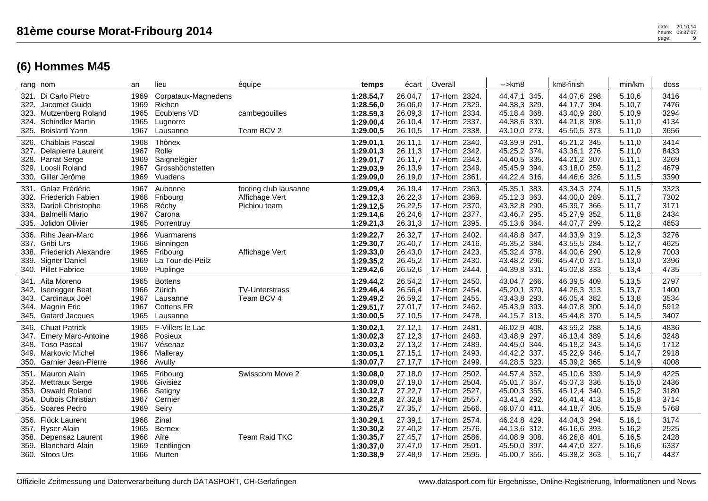| rang nom |                                                                                                                         | an                                   | lieu                                                                  | équipe                                                  | temps                                                         | écart                                               | Overall                                                                         | $\rightarrow$ km $\beta$                                                                    | km8-finish                                                                   | min/km                                         | doss                                 |
|----------|-------------------------------------------------------------------------------------------------------------------------|--------------------------------------|-----------------------------------------------------------------------|---------------------------------------------------------|---------------------------------------------------------------|-----------------------------------------------------|---------------------------------------------------------------------------------|---------------------------------------------------------------------------------------------|------------------------------------------------------------------------------|------------------------------------------------|--------------------------------------|
|          | 321. Di Carlo Pietro<br>322. Jacomet Guido<br>323. Mutzenberg Roland<br>324. Schindler Martin<br>325. Boislard Yann     | 1969<br>1969<br>1965<br>1965<br>1967 | Corpataux-Magnedens<br>Riehen<br>Ecublens VD<br>Lugnorre<br>Lausanne  | cambegouilles<br>Team BCV 2                             | 1:28.54,7<br>1:28.56,0<br>1:28.59,3<br>1:29.00,4<br>1:29.00,5 | 26.04,7<br>26.06,0<br>26.09,3<br>26.10,4<br>26.10,5 | 17-Hom 2324.<br>17-Hom 2329.<br>17-Hom 2334.<br>17-Hom 2337.<br>17-Hom 2338.    | 44.47,1 345.<br>44.38,3<br>329.<br>45.18,4<br>368.<br>44.38,6<br>330.<br>43.10,0<br>273.    | 44.07,6 298.<br>44.17,7 304.<br>43.40,9 280.<br>44.21,8 308.<br>45.50,5 373. | 5.10,6<br>5.10,7<br>5.10,9<br>5.11,0<br>5.11,0 | 3416<br>7476<br>3294<br>4134<br>3656 |
|          | 326. Chablais Pascal<br>327. Delapierre Laurent<br>328. Parrat Serge<br>329. Loosli Roland<br>330. Giller Jérôme        | 1968<br>1967<br>1969<br>1967<br>1969 | Thônex<br>Rolle<br>Saignelégier<br>Grosshöchstetten<br>Vuadens        |                                                         | 1:29.01,1<br>1:29.01,3<br>1:29.01,7<br>1:29.03,9<br>1:29.09,0 | 26.11,1<br>26.11,3<br>26.11,7<br>26.13,9<br>26.19,0 | 17-Hom 2340.<br>17-Hom 2342.<br>17-Hom 2343.<br>17-Hom 2349.<br>17-Hom 2361.    | 43.39,9 291.<br>45.25,2 374.<br>44.40,5 335.<br>45.45,9<br>394.<br>44.22,4<br>316.          | 45.21,2 345.<br>43.36,1 276.<br>44.21,2 307.<br>43.18,0 259.<br>44.46,6 326. | 5.11.0<br>5.11,0<br>5.11,1<br>5.11,2<br>5.11,5 | 3414<br>8433<br>3269<br>4679<br>3390 |
|          | 331. Golaz Frédéric<br>332. Friederich Fabien<br>333. Darioli Christophe<br>334. Balmelli Mario<br>335. Jolidon Olivier | 1967<br>1968<br>1968<br>1967<br>1965 | Aubonne<br>Fribourg<br>Réchy<br>Carona<br>Porrentruy                  | footing club lausanne<br>Affichage Vert<br>Pichiou team | 1:29.09,4<br>1:29.12,3<br>1:29.12,5<br>1:29.14,6<br>1:29.21,3 | 26.19,4<br>26.22,3<br>26.22,5<br>26.24,6<br>26.31,3 | 17-Hom 2363.<br>17-Hom 2369.<br>17-Hom 2370.<br>17-Hom 2377.<br>17-Hom 2395.    | 45.35,1<br>383.<br>45.12,3<br>363.<br>43.32,8<br>290.<br>43.46,7<br>295.<br>364.<br>45.13,6 | 43.34,3 274.<br>44.00,0 289.<br>45.39,7 366.<br>45.27,9 352.<br>44.07,7 299. | 5.11,5<br>5.11,7<br>5.11,7<br>5.11,8<br>5.12,2 | 3323<br>7302<br>3171<br>2434<br>4653 |
|          | 336. Rihs Jean-Marc<br>337. Gribi Urs<br>338. Friederich Alexandre<br>339. Signer Daniel<br>340. Pillet Fabrice         | 1966<br>1966<br>1965<br>1969<br>1969 | Vuarmarens<br>Binningen<br>Fribourg<br>La Tour-de-Peilz<br>Puplinge   | Affichage Vert                                          | 1:29.22,7<br>1:29.30,7<br>1:29.33,0<br>1:29.35,2<br>1:29.42,6 | 26.32,7<br>26.40,7<br>26.43,0<br>26.45,2<br>26.52,6 | 17-Hom 2402.<br>17-Hom 2416.<br>17-Hom 2423.<br>17-Hom 2430.<br>17-Hom 2444.    | 44.48,8<br>347.<br>45.35,2 384.<br>45.32,4<br>378.<br>43.48,2 296.<br>44.39,8 331.          | 44.33,9 319.<br>43.55,5 284.<br>44.00,6 290.<br>45.47,0 371.<br>45.02,8 333. | 5.12,3<br>5.12,7<br>5.12,9<br>5.13,0<br>5.13,4 | 3276<br>4625<br>7003<br>3396<br>4735 |
| 345.     | 341. Aita Moreno<br>342. Isenegger Beat<br>343. Cardinaux Joël<br>344. Magnin Eric<br><b>Gatard Jacques</b>             | 1965<br>1966<br>1967<br>1967<br>1965 | <b>Bottens</b><br>Zürich<br>Lausanne<br><b>Cottens FR</b><br>Lausanne | <b>TV-Unterstrass</b><br>Team BCV 4                     | 1:29.44,2<br>1:29.46,4<br>1:29.49,2<br>1:29.51,7<br>1:30.00,5 | 26.54,2<br>26.56,4<br>26.59,2<br>27.01,7<br>27.10,5 | 17-Hom 2450.<br>17-Hom 2454.<br>17-Hom 2455.<br>17-Hom 2462.<br>17-Hom 2478.    | 43.04,7<br>266.<br>45.20,1 370.<br>293.<br>43.43,8<br>45.43,9<br>393.<br>44.15,7 313.       | 46.39,5 409.<br>44.26,3 313.<br>46.05,4 382.<br>44.07,8 300.<br>45.44,8 370. | 5.13,5<br>5.13,7<br>5.13,8<br>5.14,0<br>5.14,5 | 2797<br>1400<br>3534<br>5912<br>3407 |
|          | 346. Chuat Patrick<br>347. Emery Marc-Antoine<br>348. Toso Pascal<br>349. Markovic Michel<br>350. Garnier Jean-Pierre   | 1965<br>1968<br>1967<br>1966<br>1966 | F-Villers le Lac<br>Posieux<br>Vésenaz<br>Malleray<br>Avully          |                                                         | 1:30.02,1<br>1:30.02,3<br>1:30.03,2<br>1:30.05,1<br>1:30.07,7 | 27.12,1<br>27.12,3<br>27.13,2<br>27.15,1<br>27.17,7 | 17-Hom 2481.<br>17-Hom 2483.<br>17-Hom 2489.<br>17-Hom 2493.<br>17-Hom 2499.    | 46.02,9<br>408.<br>43.48,9<br>297.<br>344.<br>44.45,0<br>44.42,2 337.<br>44.28,5<br>323.    | 43.59,2 288.<br>46.13,4 389.<br>45.18,2 343.<br>45.22,9 346.<br>45.39,2 365. | 5.14,6<br>5.14,6<br>5.14,6<br>5.14,7<br>5.14,9 | 4836<br>3248<br>1712<br>2918<br>4008 |
|          | 351. Mauron Alain<br>352. Mettraux Serge<br>353. Oswald Roland<br>354. Dubois Christian<br>355. Soares Pedro            | 1965<br>1966<br>1966<br>1967<br>1969 | Fribourg<br>Givisiez<br>Satigny<br>Cernier<br>Seiry                   | Swisscom Move 2                                         | 1:30.08,0<br>1:30.09,0<br>1:30.12,7<br>1:30.22,8<br>1:30.25,7 | 27.18,0<br>27.19,0<br>27.22,7<br>27.32,8<br>27.35,7 | 17-Hom 2502.<br>17-Hom 2504.<br>17-Hom 2527.<br>17-Hom 2557.<br>17-Hom 2566.    | 44.57,4<br>352.<br>357.<br>45.01,7<br>45.00,3<br>355.<br>292.<br>43.41,4<br>46.07,0<br>411. | 45.10,6 339.<br>45.07,3 336.<br>45.12,4 340.<br>46.41,4 413.<br>44.18,7 305. | 5.14,9<br>5.15,0<br>5.15,2<br>5.15,8<br>5.15,9 | 4225<br>2436<br>3180<br>3714<br>5768 |
| 356.     | Flück Laurent<br>357. Ryser Alain<br>358. Depensaz Laurent<br>359. Blanchard Alain<br>360. Stoos Urs                    | 1968<br>1965<br>1968<br>1969<br>1966 | Zinal<br><b>Bernex</b><br>Aïre<br>Tentlingen<br>Murten                | Team Raid TKC                                           | 1:30.29,1<br>1:30.30,2<br>1:30.35,7<br>1:30.37,0<br>1:30.38.9 | 27.39,1<br>27.40,2<br>27.45,7<br>27.47,0<br>27.48,9 | 17-Hom 2574.<br>17-Hom 2576.<br>17-Hom 2586.<br>2591.<br>17-Hom<br>17-Hom 2595. | 46.24,8 429.<br>44.13,6 312.<br>44.08,9<br>308.<br>45.50,0<br>397.<br>45.00,7<br>356.       | 44.04,3 294.<br>46.16.6 393.<br>46.26,8 401.<br>44.47,0 327.<br>45.38,2 363. | 5.16,1<br>5.16,2<br>5.16,5<br>5.16,6<br>5.16,7 | 3174<br>2525<br>2428<br>6337<br>4437 |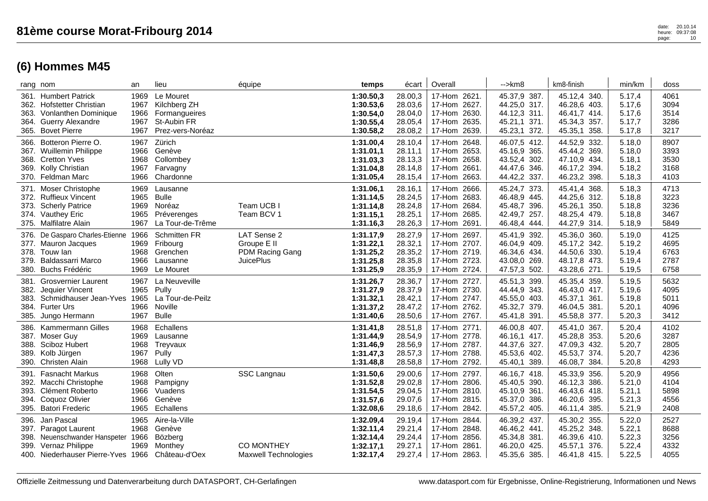|                                      | rang nom                                                                                                                          | an                                   | lieu                                                                          | équipe                                                            | temps                                                         | écart                                               | Overall                                                                               | $\rightarrow$ km $\beta$                                                     | km8-finish                                                                            | min/km                                         | doss                                 |
|--------------------------------------|-----------------------------------------------------------------------------------------------------------------------------------|--------------------------------------|-------------------------------------------------------------------------------|-------------------------------------------------------------------|---------------------------------------------------------------|-----------------------------------------------------|---------------------------------------------------------------------------------------|------------------------------------------------------------------------------|---------------------------------------------------------------------------------------|------------------------------------------------|--------------------------------------|
| 363.                                 | 361. Humbert Patrick<br>362. Hofstetter Christian<br>Vonlanthen Dominique<br>364. Guerry Alexandre<br>365. Bovet Pierre           | 1969<br>1967<br>1966<br>1967<br>1967 | Le Mouret<br>Kilchberg ZH<br>Formangueires<br>St-Aubin FR<br>Prez-vers-Noréaz |                                                                   | 1:30.50,3<br>1:30.53,6<br>1:30.54,0<br>1:30.55,4<br>1:30.58,2 | 28.00,3<br>28.03,6<br>28.04,0<br>28.05,4<br>28.08,2 | 17-Hom 2621.<br>2627.<br>17-Hom<br>17-Hom 2630.<br>17-Hom<br>2635.<br>2639.<br>17-Hom | 45.37,9 387.<br>44.25,0 317.<br>44.12,3 311.<br>45.21,1 371.<br>45.23,1 372. | 45.12,4 340.<br>46.28,6 403.<br>46.41,7 414.<br>45.34,3 357.<br>45.35,1<br>358.       | 5.17,4<br>5.17,6<br>5.17,6<br>5.17,7<br>5.17,8 | 4061<br>3094<br>3514<br>3286<br>3217 |
|                                      | 366. Botteron Pierre O.<br>367. Wuillemin Philippe<br>368. Cretton Yves<br>369. Kolly Christian<br>370. Feldman Marc              | 1967<br>1966<br>1968<br>1967<br>1966 | Zürich<br>Genève<br>Collombey<br>Farvagny<br>Chardonne                        |                                                                   | 1:31.00,4<br>1:31.01,1<br>1:31.03,3<br>1:31.04,8<br>1:31.05,4 | 28.10,4<br>28.11,1<br>28.13,3<br>28.14,8<br>28.15,4 | 17-Hom 2648.<br>2653.<br>17-Hom<br>17-Hom 2658.<br>17-Hom<br>2661.<br>2663.<br>17-Hom | 46.07,5 412.<br>45.16,9 365.<br>43.52,4 302.<br>44.47,6 346.<br>44.42,2 337. | 44.52,9 332.<br>45.44,2 369.<br>47.10,9 434.<br>46.17,2<br>394.<br>46.23,2 398.       | 5.18,0<br>5.18,0<br>5.18,1<br>5.18,2<br>5.18,3 | 8907<br>3393<br>3530<br>3168<br>4103 |
|                                      | 371. Moser Christophe<br>372. Ruffieux Vincent<br>373. Scherly Patrice<br>374. Vauthey Eric<br>375. Malfilatre Alain              | 1969<br>1965<br>1969<br>1965<br>1967 | Lausanne<br><b>Bulle</b><br>Noréaz<br>Préverenges<br>La Tour-de-Trême         | Team UCB I<br>Team BCV 1                                          | 1:31.06,1<br>1:31.14,5<br>1:31.14,8<br>1:31.15,1<br>1:31.16,3 | 28.16,1<br>28.24,5<br>28.24,8<br>28.25,1<br>28.26,3 | 2666.<br>17-Hom<br>2683.<br>17-Hom<br>17-Hom 2684.<br>17-Hom 2685.<br>2691.<br>17-Hom | 45.24,7 373.<br>46.48,9 445.<br>45.48,7 396.<br>42.49,7 257.<br>46.48,4 444. | 45.41,4 368.<br>44.25,6 312.<br>45.26,1 350.<br>48.25,4 479.<br>44.27,9 314.          | 5.18,3<br>5.18,8<br>5.18,8<br>5.18,8<br>5.18,9 | 4713<br>3223<br>3236<br>3467<br>5849 |
|                                      | 376. De Gasparo Charles-Etienne 1966<br>377. Mauron Jacques<br>378. Touw lan<br>379. Baldassarri Marco<br>380. Buchs Frédéric     | 1969<br>1968<br>1966<br>1969         | <b>Schmitten FR</b><br>Fribourg<br>Grenchen<br>Lausanne<br>Le Mouret          | LAT Sense 2<br>Groupe E II<br>PDM Racing Gang<br><b>JuicePlus</b> | 1:31.17,9<br>1:31.22,1<br>1:31.25,2<br>1:31.25,8<br>1:31.25,9 | 28.27,9<br>28.32,1<br>28.35,2<br>28.35,8<br>28.35,9 | 17-Hom 2697.<br>2707.<br>17-Hom<br>17-Hom 2719.<br>17-Hom 2723.<br>17-Hom<br>2724.    | 45.41,9 392.<br>46.04,9 409.<br>46.34,6 434.<br>43.08,0 269.<br>47.57,3 502. | 45.36,0 360.<br>45.17,2 342.<br>44.50,6 330.<br>48.17,8 473.<br>43.28,6 271.          | 5.19,0<br>5.19,2<br>5.19,4<br>5.19,4<br>5.19,5 | 4125<br>4695<br>6763<br>2787<br>6758 |
| 381.<br>382.<br>383.<br>384.<br>385. | <b>Grosvernier Laurent</b><br>Jequier Vincent<br>Schmidhauser Jean-Yves 1965<br><b>Furter Urs</b><br>Jungo Hermann                | 1967<br>1965<br>1966<br>1967         | La Neuveville<br>Pully<br>La Tour-de-Peilz<br>Noville<br><b>Bulle</b>         |                                                                   | 1:31.26,7<br>1:31.27,9<br>1:31.32,1<br>1:31.37,2<br>1:31.40,6 | 28.36,7<br>28.37,9<br>28.42,1<br>28.47,2<br>28.50,6 | 17-Hom 2727.<br>17-Hom 2730.<br>17-Hom 2747.<br>17-Hom 2762.<br>17-Hom 2767.          | 45.51,3 399.<br>44.44,9 343.<br>45.55,0 403.<br>45.32,7 379.<br>45.41,8 391. | 45.35,4 359.<br>46.43,0 417.<br>45.37,1 361.<br>46.04,5 381.<br>45.58,8 377.          | 5.19,5<br>5.19,6<br>5.19,8<br>5.20,1<br>5.20,3 | 5632<br>4095<br>5011<br>4096<br>3412 |
| 386.<br>389.                         | Kammermann Gilles<br>387. Moser Guy<br>388. Sciboz Hubert<br>Kolb Jürgen<br>390. Christen Alain                                   | 1968<br>1969<br>1968<br>1967<br>1968 | Echallens<br>Lausanne<br>Treyvaux<br>Pully<br>Lully VD                        |                                                                   | 1:31.41,8<br>1:31.44,9<br>1:31.46,9<br>1:31.47,3<br>1:31.48,8 | 28.51,8<br>28.54,9<br>28.56,9<br>28.57,3<br>28.58,8 | 17-Hom 2771.<br>17-Hom 2778.<br>17-Hom 2787.<br>17-Hom 2788.<br>17-Hom 2792.          | 46.00,8 407.<br>46.16,1 417.<br>44.37,6 327.<br>45.53,6 402.<br>45.40,1 389. | 45.41,0 367.<br>45.28,8 353.<br>47.09,3 432.<br>45.53,7<br>374.<br>46.08,7<br>384.    | 5.20,4<br>5.20,6<br>5.20,7<br>5.20,7<br>5.20,8 | 4102<br>3287<br>2805<br>4236<br>4293 |
| 391.<br>394.                         | <b>Fasnacht Markus</b><br>392. Macchi Christophe<br>393. Clément Roberto<br>Coquoz Olivier<br>395. Batori Frederic                | 1968<br>1968<br>1966<br>1966<br>1965 | Olten<br>Pampigny<br>Vuadens<br>Genève<br>Echallens                           | SSC Langnau                                                       | 1:31.50,6<br>1:31.52,8<br>1:31.54,5<br>1:31.57,6<br>1:32.08,6 | 29.00,6<br>29.02.8<br>29.04,5<br>29.07,6<br>29.18,6 | 17-Hom 2797.<br>17-Hom 2806.<br>17-Hom 2810.<br>17-Hom<br>2815.<br>17-Hom 2842.       | 46.16,7 418.<br>45.40,5 390.<br>45.10,9 361.<br>45.37,0 386.<br>45.57,2 405. | 45.33,9<br>356.<br>46.12,3 386.<br>46.43,6 418.<br>46.20,6<br>395.<br>46.11,4<br>385. | 5.20,9<br>5.21,0<br>5.21,1<br>5.21,3<br>5.21,9 | 4956<br>4104<br>5898<br>4556<br>2408 |
| 396.<br>399.                         | Jan Pascal<br>397. Paragot Laurent<br>398. Neuenschwander Hanspeter 1966<br>Vernaz Philippe<br>400. Niederhauser Pierre-Yves 1966 | 1965<br>1968<br>1969                 | Aire-la-Ville<br>Genève<br><b>Bözberg</b><br>Monthey<br>Château-d'Oex         | <b>CO MONTHEY</b><br>Maxwell Technologies                         | 1:32.09,4<br>1:32.11,4<br>1:32.14,4<br>1:32.17,1<br>1:32.17,4 | 29.19,4<br>29.21.4<br>29.24,4<br>29.27,1<br>29.27,4 | 17-Hom<br>2844.<br>17-Hom 2848.<br>17-Hom 2856.<br>17-Hom<br>2861.<br>17-Hom 2863.    | 46.39,2 437.<br>46.46,2 441.<br>45.34,8 381.<br>46.20,0 425.<br>45.35,6 385. | 45.30,2 355.<br>45.25,2 348.<br>46.39,6 410.<br>45.57,1<br>376.<br>46.41,8 415.       | 5.22,0<br>5.22,1<br>5.22,3<br>5.22,4<br>5.22,5 | 2527<br>8688<br>3256<br>4332<br>4055 |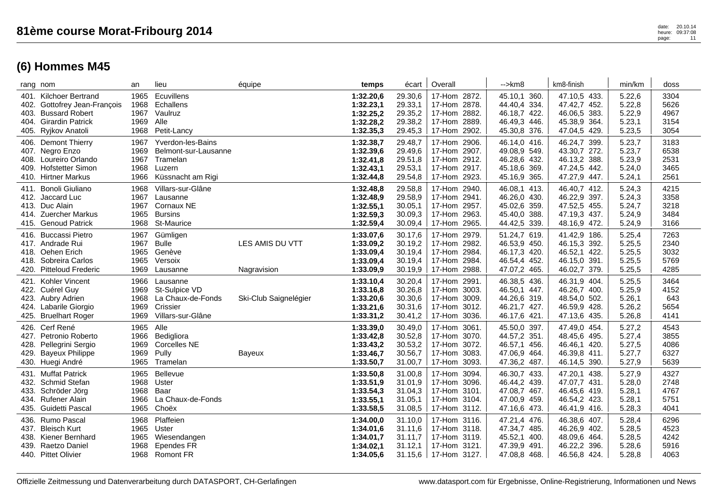| 404. Girardin Patrick<br>405. Ryjkov Anatoli                                                                    | 1969                            | Alle<br>1968 Petit-Lancy                                                                            |                                | 1:32.28,2<br>1:32.35,3                                        | 29.38,2<br>29.45,3                                  | 17-Hom 2889.<br>17-Hom 2902.                                                 | 46.49,3 446.<br>45.30,8 376.                                                 | 45.38,9 364.<br>47.04,5 429.                                                 | 5.23,1<br>5.23,5                               | 3154<br>3054                         |
|-----------------------------------------------------------------------------------------------------------------|---------------------------------|-----------------------------------------------------------------------------------------------------|--------------------------------|---------------------------------------------------------------|-----------------------------------------------------|------------------------------------------------------------------------------|------------------------------------------------------------------------------|------------------------------------------------------------------------------|------------------------------------------------|--------------------------------------|
| 406. Demont Thierry<br>407. Negro Enzo<br>408. Loureiro Orlando<br>409. Hofstetter Simon<br>410. Hirtner Markus | 1967<br>1969<br>1967<br>1968    | Yverdon-les-Bains<br>Belmont-sur-Lausanne<br>Tramelan<br>Luzern<br>1966 Küssnacht am Rigi           |                                | 1:32.38,7<br>1:32.39,6<br>1:32.41,8<br>1:32.43.1<br>1:32.44,8 | 29.48,7<br>29.49,6<br>29.51,8<br>29.53,1<br>29.54,8 | 17-Hom 2906.<br>17-Hom 2907.<br>17-Hom 2912.<br>17-Hom 2917.<br>17-Hom 2923. | 46.14,0 416.<br>49.08,9 549.<br>46.28,6 432.<br>45.18,6 369.<br>45.16,9 365. | 46.24,7 399.<br>43.30,7 272.<br>46.13,2 388.<br>47.24,5 442.<br>47.27,9 447. | 5.23,7<br>5.23,7<br>5.23,9<br>5.24,0<br>5.24,1 | 3183<br>6538<br>2531<br>3465<br>2561 |
| 411. Bonoli Giuliano<br>412. Jaccard Luc<br>413. Duc Alain<br>414. Zuercher Markus<br>415. Genoud Patrick       | 1968                            | Villars-sur-Glâne<br>1967 Lausanne<br>1967 Cornaux NE<br>1965 Bursins<br>1968 St-Maurice            |                                | 1:32.48,8<br>1:32.48,9<br>1:32.55,1<br>1:32.59,3<br>1:32.59,4 | 29.58,8<br>29.58,9<br>30.05,1<br>30.09,3<br>30.09,4 | 17-Hom 2940.<br>17-Hom 2941.<br>17-Hom 2957.<br>17-Hom 2963.<br>17-Hom 2965. | 46.08,1 413.<br>46.26,0 430.<br>45.02,6 359.<br>45.40,0 388.<br>44.42,5 339. | 46.40,7 412.<br>46.22,9 397.<br>47.52,5 455.<br>47.19,3 437.<br>48.16,9 472. | 5.24,3<br>5.24,3<br>5.24,7<br>5.24,9<br>5.24,9 | 4215<br>3358<br>3218<br>3484<br>3166 |
| 416. Buccassi Pietro<br>417. Andrade Rui<br>418. Oehen Erich<br>418. Sobreira Carlos<br>420. Pitteloud Frederic | 1967<br>1967 Bulle              | Gümligen<br>1965 Genève<br>1965 Versoix<br>1969 Lausanne                                            | LES AMIS DU VTT<br>Nagravision | 1:33.07.6<br>1:33.09,2<br>1:33.09,4<br>1:33.09,4<br>1:33.09,9 | 30.17,6<br>30.19,2<br>30.19,4<br>30.19,4<br>30.19,9 | 17-Hom 2979.<br>17-Hom 2982.<br>17-Hom 2984.<br>17-Hom 2984.<br>17-Hom 2988. | 51.24,7 619.<br>46.53,9 450.<br>46.17,3 420.<br>46.54,4 452.<br>47.07,2 465. | 41.42,9 186.<br>46.15,3 392.<br>46.52,1 422.<br>46.15,0 391.<br>46.02,7 379. | 5.25,4<br>5.25,5<br>5.25,5<br>5.25,5<br>5.25,5 | 7263<br>2340<br>3032<br>5769<br>4285 |
| 421. Kohler Vincent<br>422. Cuérel Guy<br>423. Aubry Adrien<br>424. Labarile Giorgio<br>425. Bruelhart Roger    | 1966                            | Lausanne<br>1969 St-Sulpice VD<br>1968 La Chaux-de-Fonds<br>1969 Crissier<br>1969 Villars-sur-Glâne | Ski-Club Saignelégier          | 1:33.10,4<br>1:33.16,8<br>1:33.20,6<br>1:33.21,6<br>1:33.31,2 | 30.20,4<br>30.26,8<br>30.30,6<br>30.31,6<br>30.41,2 | 17-Hom 2991.<br>17-Hom 3003.<br>17-Hom 3009.<br>17-Hom 3012.<br>17-Hom 3036. | 46.38,5 436.<br>46.50,1 447.<br>44.26,6 319.<br>46.21,7 427.<br>46.17,6 421. | 46.31,9 404.<br>46.26,7 400.<br>48.54,0 502.<br>46.59,9 428.<br>47.13,6 435. | 5.25,5<br>5.25,9<br>5.26,1<br>5.26,2<br>5.26,8 | 3464<br>4152<br>643<br>5654<br>4141  |
| 426. Cerf René<br>427. Petronio Roberto<br>428. Pellegrini Sergio<br>429. Bayeux Philippe<br>430. Huegi André   | 1965 Alle<br>1969<br>1969 Pully | 1966 Bedigliora<br><b>Corcelles NE</b><br>1965 Tramelan                                             | Bayeux                         | 1:33.39,0<br>1:33.42,8<br>1:33.43,2<br>1:33.46,7<br>1:33.50,7 | 30.49,0<br>30.52,8<br>30.53,2<br>30.56,7<br>31.00,7 | 17-Hom 3061.<br>17-Hom 3070.<br>17-Hom 3072.<br>17-Hom 3083.<br>17-Hom 3093. | 45.50,0 397.<br>44.57,2 351.<br>46.57,1 456.<br>47.06,9 464.<br>47.36,2 487. | 47.49,0 454.<br>48.45,6 495.<br>46.46,1 420.<br>46.39,8 411.<br>46.14,5 390. | 5.27,2<br>5.27,4<br>5.27,5<br>5.27,7<br>5.27,9 | 4543<br>3855<br>4086<br>6327<br>5639 |
| 431. Muffat Patrick<br>432. Schmid Stefan<br>433. Schröder Jörg<br>434. Rufener Alain<br>435. Guidetti Pascal   | 1968 Baar<br>1966<br>1965       | 1965 Bellevue<br>1968 Uster<br>La Chaux-de-Fonds<br>Choëx                                           |                                | 1:33.50,8<br>1:33.51,9<br>1:33.54,3<br>1:33.55,1<br>1:33.58,5 | 31.00,8<br>31.01,9<br>31.04,3<br>31.05,1<br>31.08,5 | 17-Hom 3094.<br>17-Hom 3096.<br>17-Hom 3101.<br>17-Hom 3104.<br>17-Hom 3112. | 46.30,7 433.<br>46.44,2 439.<br>47.08,7 467.<br>47.00,9 459.<br>47.16,6 473. | 47.20,1 438.<br>47.07,7 431.<br>46.45,6 419.<br>46.54,2 423.<br>46.41,9 416. | 5.27,9<br>5.28,0<br>5.28,1<br>5.28,1<br>5.28,3 | 4327<br>2748<br>4767<br>5751<br>4041 |
| 436. Rumo Pascal<br>437. Bleisch Kurt<br>438. Kiener Bernhard<br>439. Raetzo Daniel<br>440. Pittet Olivier      | 1968<br>1968                    | Plaffeien<br>1965 Uster<br>1965 Wiesendangen<br><b>Ependes FR</b><br>1968 Romont FR                 |                                | 1:34.00,0<br>1:34.01.6<br>1:34.01,7<br>1:34.02,1<br>1:34.05,6 | 31.10,0<br>31.11,6<br>31.11,7<br>31.12,1<br>31.15,6 | 17-Hom 3116.<br>17-Hom 3118.<br>17-Hom 3119.<br>17-Hom 3121.<br>17-Hom 3127. | 47.21,4 476.<br>47.34,7 485.<br>45.52,1 400.<br>47.39,9 491.<br>47.08,8 468. | 46.38,6 407.<br>46.26,9 402.<br>48.09,6 464.<br>46.22,2 396.<br>46.56,8 424. | 5.28,4<br>5.28,5<br>5.28,5<br>5.28,6<br>5.28,8 | 6296<br>4523<br>4242<br>5916<br>4063 |

rang nom an lieu équipe **temps** écart | Overall | -->km8 | km8-finish | min/km | doss 401. Kilchoer Bertrand 1965 Ecuvillens **1:32.20,6** 29.30,6 17-Hom 2872. 45.10,1 360. 47.10,5 433. 5.22,6 3304 402. Gottofrey Jean-François 1968 Echallens **1:32.23,1** 29.33,1 17-Hom 2878. 44.40,4 334. 47.42,7 452. 5.22,8 5626 403. Bussard Robert 1967 Vaulruz **1:32.25,2** 29.35,2 17-Hom 2882. 46.18,7 422. 46.06,5 383. 5.22,9 4967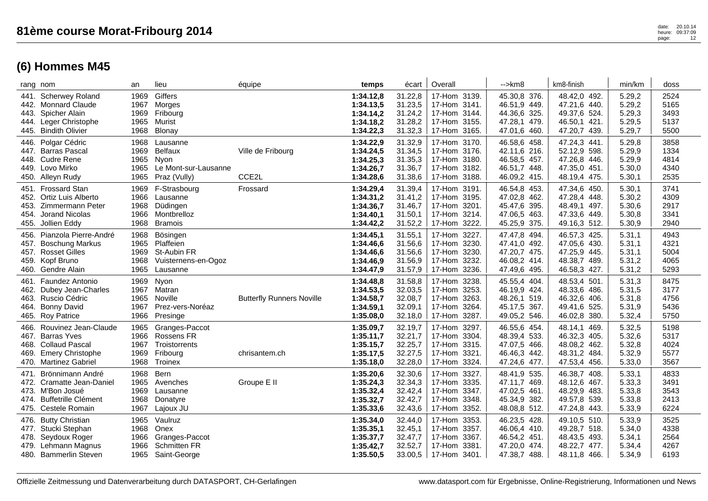| rang nom                                                                                                                               | an                                   | lieu                                                                        | équipe                           | temps                                                         | écart                                               | Overall                                                                                     | $\rightarrow$ km $\beta$                                                     | km8-finish                                                                         | min/km                                         | doss                                 |
|----------------------------------------------------------------------------------------------------------------------------------------|--------------------------------------|-----------------------------------------------------------------------------|----------------------------------|---------------------------------------------------------------|-----------------------------------------------------|---------------------------------------------------------------------------------------------|------------------------------------------------------------------------------|------------------------------------------------------------------------------------|------------------------------------------------|--------------------------------------|
| <b>Scherwey Roland</b><br>441.<br>442. Monnard Claude<br>Spicher Alain<br>443.<br>444. Leger Christophe<br>445. Bindith Olivier        | 1969<br>1967<br>1969<br>1965<br>1968 | Giffers<br>Morges<br>Fribourg<br>Murist<br>Blonay                           |                                  | 1:34.12,8<br>1:34.13,5<br>1:34.14,2<br>1:34.18,2<br>1:34.22,3 | 31.22,8<br>31.23,5<br>31.24,2<br>31.28,2<br>31.32,3 | 17-Hom 3139.<br>17-Hom 3141.<br>17-Hom 3144.<br>17-Hom 3155.<br>17-Hom 3165.                | 45.30,8 376.<br>46.51,9 449.<br>44.36,6 325.<br>47.28,1 479.<br>47.01,6 460. | 48.42,0 492.<br>47.21,6 440.<br>49.37,6 524.<br>46.50,1 421.<br>47.20,7 439.       | 5.29,2<br>5.29,2<br>5.29,3<br>5.29,5<br>5.29,7 | 2524<br>5165<br>3493<br>5137<br>5500 |
| 446. Polgar Cédric<br>447. Barras Pascal<br>448. Cudre Rene<br>449. Lovo Mirko<br>450. Alleyn Rudy                                     | 1968<br>1969<br>1965<br>1965<br>1965 | Lausanne<br><b>Belfaux</b><br>Nyon<br>Le Mont-sur-Lausanne<br>Praz (Vully)  | Ville de Fribourg<br>CCE2L       | 1:34.22,9<br>1:34.24,5<br>1:34.25,3<br>1:34.26,7<br>1:34.28,6 | 31.32,9<br>31.34,5<br>31.35,3<br>31.36,7<br>31.38,6 | 17-Hom 3170.<br>17-Hom 3176.<br>17-Hom 3180.<br>17-Hom 3182.<br>17-Hom 3188.                | 46.58,6 458.<br>42.11,6 216.<br>46.58,5 457.<br>46.51,7 448.<br>46.09,2 415. | 47.24,3 441.<br>52.12,9 598.<br>47.26,8 446.<br>47.35,0 451.<br>48.19,4 475.       | 5.29,8<br>5.29,9<br>5.29,9<br>5.30,0<br>5.30,1 | 3858<br>1334<br>4814<br>4340<br>2535 |
| 451. Frossard Stan<br>Ortiz Luis Alberto<br>452.<br>Zimmermann Peter<br>453.<br><b>Jorand Nicolas</b><br>454.<br>455.<br>Jollien Eddy  | 1969<br>1966<br>1968<br>1966<br>1968 | F-Strasbourg<br>Lausanne<br>Düdingen<br>Montbrelloz<br><b>Bramois</b>       | Frossard                         | 1:34.29,4<br>1:34.31,2<br>1:34.36,7<br>1:34.40,1<br>1:34.42,2 | 31.39,4<br>31.41,2<br>31.46,7<br>31.50,1<br>31.52,2 | 17-Hom 3191.<br>17-Hom 3195.<br>17-Hom 3201.<br>17-Hom 3214.<br>3222.<br>17-Hom             | 46.54,8 453.<br>47.02,8 462.<br>45.47,6 395.<br>47.06,5 463.<br>45.25,9 375. | 47.34,6 450.<br>47.28,4 448.<br>48.49,1 497.<br>47.33,6 449.<br>49.16,3 512.       | 5.30,1<br>5.30,2<br>5.30,6<br>5.30,8<br>5.30,9 | 3741<br>4309<br>2917<br>3341<br>2940 |
| Pianzola Pierre-André<br>456.<br><b>Boschung Markus</b><br>457.<br>457. Rosset Gilles<br>459. Kopf Bruno<br>460. Gendre Alain          | 1968<br>1965<br>1969<br>1968<br>1965 | Bösingen<br>Plaffeien<br>St-Aubin FR<br>Vuisternens-en-Ogoz<br>Lausanne     |                                  | 1:34.45,1<br>1:34.46,6<br>1:34.46,6<br>1:34.46,9<br>1:34.47,9 | 31.55,1<br>31.56,6<br>31.56,6<br>31.56,9<br>31.57,9 | 17-Hom<br>3227.<br>3230.<br>17-Hom<br>17-Hom<br>3230.<br>17-Hom<br>3232.<br>3236.<br>17-Hom | 47.47,8 494.<br>47.41,0 492.<br>47.20,7 475.<br>46.08,2 414.<br>47.49,6 495. | 46.57,3 425.<br>47.05,6 430.<br>47.25,9 445.<br>48.38,7 489.<br>46.58,3 427.       | 5.31,1<br>5.31,1<br>5.31,1<br>5.31,2<br>5.31,2 | 4943<br>4321<br>5004<br>4065<br>5293 |
| <b>Faundez Antonio</b><br>461.<br>Dubey Jean-Charles<br>462.<br>463. Ruscio Cédric<br><b>Bonny David</b><br>464.<br>465. Roy Patrice   | 1969<br>1967<br>1965<br>1967<br>1966 | Nyon<br>Matran<br>Noville<br>Prez-vers-Noréaz<br>Presinge                   | <b>Butterfly Runners Noville</b> | 1:34.48,8<br>1:34.53,5<br>1:34.58,7<br>1:34.59,1<br>1:35.08,0 | 31.58,8<br>32.03,5<br>32.08,7<br>32.09,1<br>32.18,0 | 17-Hom<br>3238.<br>3253.<br>17-Hom<br>3263.<br>17-Hom<br>17-Hom<br>3264.<br>3287.<br>17-Hom | 45.55,4 404.<br>46.19,9 424.<br>48.26,1 519.<br>45.17,5 367.<br>49.05,2 546. | 48.53,4 501.<br>48.33,6 486.<br>46.32,6 406.<br>49.41,6<br>525.<br>46.02,8<br>380. | 5.31,3<br>5.31,5<br>5.31,8<br>5.31,9<br>5.32,4 | 8475<br>3177<br>4756<br>5436<br>5750 |
| 466. Rouvinez Jean-Claude<br>467. Barras Yves<br>468. Collaud Pascal<br><b>Emery Christophe</b><br>469.<br>470. Martinez Gabriel       | 1965<br>1966<br>1967<br>1969<br>1968 | Granges-Paccot<br><b>Rossens FR</b><br>Troistorrents<br>Fribourg<br>Troinex | chrisantem.ch                    | 1:35.09,7<br>1:35.11,7<br>1:35.15,7<br>1:35.17,5<br>1:35.18,0 | 32.19,7<br>32.21,7<br>32.25,7<br>32.27,5<br>32.28,0 | 17-Hom<br>3297.<br>17-Hom 3304.<br>17-Hom 3315.<br>17-Hom<br>3321.<br>3324.<br>17-Hom       | 46.55,6 454.<br>48.39,4 533.<br>47.07,5 466.<br>46.46,3 442.<br>47.24,6 477. | 48.14,1 469.<br>46.32,3 405.<br>48.08,2 462.<br>48.31,2<br>484.<br>47.53,4 456.    | 5.32,5<br>5.32,6<br>5.32,8<br>5.32,9<br>5.33,0 | 5198<br>5317<br>4024<br>5577<br>3567 |
| Brönnimann André<br>471.<br>472. Cramatte Jean-Daniel<br>473. M'Bon Josué<br><b>Buffetrille Clément</b><br>474.<br>475. Cestele Romain | 1968<br>1965<br>1969<br>1968<br>1967 | Bern<br>Avenches<br>Lausanne<br>Donatyre<br>Lajoux JU                       | Groupe E II                      | 1:35.20,6<br>1:35.24,3<br>1:35.32,4<br>1:35.32,7<br>1:35.33,6 | 32.30,6<br>32.34.3<br>32.42,4<br>32.42,7<br>32.43,6 | 17-Hom<br>3327.<br>17-Hom 3335.<br>17-Hom 3347.<br>17-Hom<br>3348.<br>17-Hom<br>3352.       | 48.41,9 535.<br>47.11,7 469.<br>47.02,5 461.<br>45.34,9 382.<br>48.08,8 512. | 46.38,7 408.<br>48.12,6 467.<br>48.29,9 483.<br>49.57,8<br>539.<br>47.24,8 443.    | 5.33,1<br>5.33,3<br>5.33,8<br>5.33,8<br>5.33,9 | 4833<br>3491<br>3543<br>2413<br>6224 |
| 476. Butty Christian<br>477. Stucki Stephan<br>478. Seydoux Roger<br>479. Lehmann Magnus<br>480. Bammerlin Steven                      | 1965<br>1968<br>1966<br>1966<br>1965 | Vaulruz<br>Onex<br>Granges-Paccot<br><b>Schmitten FR</b><br>Saint-George    |                                  | 1:35.34,0<br>1:35.35,1<br>1:35.37,7<br>1:35.42,7<br>1:35.50,5 | 32.44,0<br>32.45.1<br>32.47,7<br>32.52,7<br>33.00,5 | 17-Hom<br>3353.<br>17-Hom 3357.<br>3367.<br>17-Hom<br>17-Hom<br>3381.<br>17-Hom 3401.       | 46.23,5 428.<br>46.06,4 410.<br>46.54,2 451.<br>47.20,0 474.<br>47.38,7 488. | 49.10,5 510.<br>49.28,7 518.<br>48.43,5 493.<br>48.22,7<br>477.<br>48.11,8 466.    | 5.33,9<br>5.34,0<br>5.34,1<br>5.34,4<br>5.34,9 | 3525<br>4338<br>2564<br>4267<br>6193 |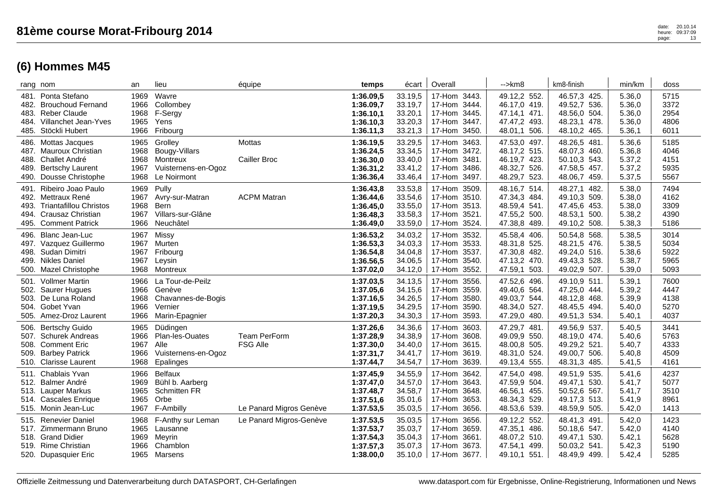| rang nom             |                                                                                                                        | an                                   | lieu                                                                          | équipe                          | temps                                                         | écart                                               | Overall                                                                                     | $\rightarrow$ km $\beta$                                                     | km8-finish                                                                      | min/km                                         | doss                                 |
|----------------------|------------------------------------------------------------------------------------------------------------------------|--------------------------------------|-------------------------------------------------------------------------------|---------------------------------|---------------------------------------------------------------|-----------------------------------------------------|---------------------------------------------------------------------------------------------|------------------------------------------------------------------------------|---------------------------------------------------------------------------------|------------------------------------------------|--------------------------------------|
| 482.<br>485.         | 481. Ponta Stefano<br><b>Brouchoud Fernand</b><br>483. Reber Claude<br>484. Villanchet Jean-Yves<br>Stöckli Hubert     | 1969<br>1966<br>1968<br>1965<br>1966 | Wavre<br>Collombey<br>F-Sergy<br>Yens<br>Fribourg                             |                                 | 1:36.09,5<br>1:36.09,7<br>1:36.10,1<br>1:36.10,3<br>1:36.11,3 | 33.19,5<br>33.19,7<br>33.20,1<br>33.20,3<br>33.21,3 | 17-Hom 3443.<br>17-Hom<br>3444.<br>3445.<br>17-Hom<br>17-Hom<br>3447.<br>3450.<br>17-Hom    | 49.12,2 552.<br>46.17,0 419.<br>47.14,1 471.<br>47.47,2 493.<br>48.01,1 506. | 46.57,3 425.<br>49.52,7 536.<br>48.56,0 504.<br>48.23,1 478.<br>48.10,2 465.    | 5.36,0<br>5.36,0<br>5.36,0<br>5.36,0<br>5.36,1 | 5715<br>3372<br>2954<br>4806<br>6011 |
| 487.<br>489.         | 486. Mottas Jacques<br>Mauroux Christian<br>488. Challet André<br><b>Bertschy Laurent</b><br>490. Dousse Christophe    | 1965<br>1968<br>1968<br>1967<br>1968 | Grolley<br>Bougy-Villars<br>Montreux<br>Vuisternens-en-Ogoz<br>Le Noirmont    | Mottas<br>Cailler Broc          | 1:36.19,5<br>1:36.24,5<br>1:36.30,0<br>1:36.31,2<br>1:36.36,4 | 33.29,5<br>33.34,5<br>33.40,0<br>33.41,2<br>33.46,4 | 17-Hom 3463.<br>3472.<br>17-Hom<br>17-Hom<br>3481.<br>17-Hom<br>3486.<br>17-Hom<br>3497.    | 47.53,0 497.<br>48.17,2 515.<br>46.19,7 423.<br>48.32,7 526.<br>48.29,7 523. | 48.26,5 481.<br>48.07,3 460.<br>50.10,3 543.<br>47.58,5 457.<br>48.06,7 459.    | 5.36,6<br>5.36,8<br>5.37,2<br>5.37,2<br>5.37,5 | 5185<br>4046<br>4151<br>5935<br>5567 |
| 491.<br>493.<br>494. | Ribeiro Joao Paulo<br>492. Mettraux René<br><b>Triantafillou Christos</b><br>Crausaz Christian<br>495. Comment Patrick | 1969<br>1967<br>1968<br>1967<br>1966 | Pully<br>Avry-sur-Matran<br><b>Bern</b><br>Villars-sur-Glâne<br>Neuchâtel     | <b>ACPM Matran</b>              | 1:36.43,8<br>1:36.44,6<br>1:36.45,0<br>1:36.48,3<br>1:36.49,0 | 33.53,8<br>33.54,6<br>33.55,0<br>33.58,3<br>33.59,0 | 3509.<br>17-Hom<br>3510.<br>17-Hom<br>17-Hom 3513.<br>3521.<br>17-Hom<br>17-Hom<br>3524.    | 48.16,7 514.<br>47.34,3 484.<br>48.59,4 541.<br>47.55,2 500.<br>47.38,8 489. | 48.27,1 482.<br>49.10,3 509.<br>47.45,6 453.<br>48.53,1 500.<br>49.10,2 508.    | 5.38,0<br>5.38,0<br>5.38,0<br>5.38,2<br>5.38,3 | 7494<br>4162<br>3309<br>4390<br>5186 |
| 496.<br>499.         | Blanc Jean-Luc<br>497. Vazquez Guillermo<br>498. Sudan Dimitri<br>Nikles Daniel<br>500. Mazel Christophe               | 1967<br>1967<br>1967<br>1967<br>1968 | Missy<br>Murten<br>Fribourg<br>Leysin<br>Montreux                             |                                 | 1:36.53,2<br>1:36.53,3<br>1:36.54,8<br>1:36.56,5<br>1:37.02,0 | 34.03,2<br>34.03,3<br>34.04,8<br>34.06,5<br>34.12,0 | 3532.<br>17-Hom<br>3533.<br>17-Hom<br>3537.<br>17-Hom<br>3540.<br>17-Hom<br>3552.<br>17-Hom | 45.58,4 406.<br>48.31,8 525.<br>47.30,8 482.<br>47.13,2 470.<br>47.59,1 503. | 50.54,8 568.<br>48.21,5 476.<br>49.24,0 516.<br>49.43,3 528.<br>49.02,9 507.    | 5.38,5<br>5.38,5<br>5.38,6<br>5.38,7<br>5.39,0 | 3014<br>5034<br>5922<br>5965<br>5093 |
| 501.<br>504.         | <b>Vollmer Martin</b><br>502. Saurer Hugues<br>503. De Luna Roland<br>Gobet Yvan<br>505. Amez-Droz Laurent             | 1966<br>1966<br>1968<br>1966<br>1966 | La Tour-de-Peilz<br>Genève<br>Chavannes-de-Bogis<br>Vernier<br>Marin-Epagnier |                                 | 1:37.03,5<br>1:37.05,6<br>1:37.16,5<br>1:37.19,5<br>1:37.20,3 | 34.13,5<br>34.15,6<br>34.26,5<br>34.29,5<br>34.30,3 | 3556.<br>17-Hom<br>17-Hom<br>3559.<br>17-Hom<br>3580.<br>3590.<br>17-Hom<br>3593.<br>17-Hom | 47.52,6 496.<br>49.40,6 564.<br>49.03,7 544.<br>48.34,0 527.<br>47.29,0 480. | 49.10,9 511.<br>47.25,0 444.<br>48.12,8 468.<br>48.45,5 494.<br>49.51,3 534.    | 5.39,1<br>5.39,2<br>5.39,9<br>5.40,0<br>5.40,1 | 7600<br>4447<br>4138<br>5270<br>4037 |
| 506.<br>508.<br>509. | <b>Bertschy Guido</b><br>507. Schurek Andreas<br><b>Comment Eric</b><br><b>Barbey Patrick</b><br>510. Clarisse Laurent | 1965<br>1966<br>1967<br>1966<br>1968 | Düdingen<br>Plan-les-Ouates<br>Alle<br>Vuisternens-en-Ogoz<br>Epalinges       | Team PerForm<br><b>FSG Alle</b> | 1:37.26,6<br>1:37.28,9<br>1:37.30,0<br>1:37.31,7<br>1:37.44,7 | 34.36,6<br>34.38,9<br>34.40,0<br>34.41,7<br>34.54,7 | 3603.<br>17-Hom<br>17-Hom<br>3608.<br>17-Hom<br>3615.<br>17-Hom<br>3619.<br>17-Hom<br>3639. | 47.29,7 481<br>49.09,9 550.<br>48.00,8 505.<br>48.31,0 524.<br>49.13,4 555.  | 49.56,9 537.<br>48.19,0 474.<br>49.29,2 521.<br>49.00,7<br>506.<br>48.31,3 485. | 5.40,5<br>5.40,6<br>5.40,7<br>5.40,8<br>5.41,5 | 3441<br>5763<br>4333<br>4509<br>4161 |
| 511.                 | Chablais Yvan<br>512. Balmer André<br>513. Lauper Markus<br>514. Cascales Enrique<br>515. Monin Jean-Luc               | 1966<br>1969<br>1965<br>1965<br>1967 | <b>Belfaux</b><br>Bühl b. Aarberg<br>Schmitten FR<br>Orbe<br>F-Ambilly        | Le Panard Migros Genève         | 1:37.45,9<br>1:37.47,0<br>1:37.48,7<br>1:37.51,6<br>1:37.53,5 | 34.55,9<br>34.57,0<br>34.58,7<br>35.01,6<br>35.03,5 | 17-Hom<br>3642.<br>3643.<br>17-Hom<br>17-Hom<br>3648.<br>3653.<br>17-Hom<br>3656.<br>17-Hom | 47.54,0 498.<br>47.59,9 504.<br>46.56,1 455.<br>48.34,3 529.<br>48.53,6 539. | 49.51,9 535.<br>49.47,1<br>530.<br>50.52,6 567.<br>49.17,3 513.<br>48.59,9 505. | 5.41,6<br>5.41,7<br>5.41,7<br>5.41,9<br>5.42,0 | 4237<br>5077<br>3510<br>8961<br>1413 |
| 515.                 | <b>Renevier Daniel</b><br>517. Zimmermann Bruno<br>518. Grand Didier<br>519. Rime Christian<br>520. Dupasquier Eric    | 1968<br>1965<br>1969<br>1966<br>1965 | F-Anthy sur Leman<br>Lausanne<br>Meyrin<br>Chamblon<br>Marsens                | Le Panard Migros-Genève         | 1:37.53,5<br>1:37.53,7<br>1:37.54,3<br>1:37.57,3<br>1:38.00,0 | 35.03,5<br>35.03,7<br>35.04,3<br>35.07,3<br>35.10,0 | 17-Hom<br>3656.<br>17-Hom<br>3659.<br>3661.<br>17-Hom<br>17-Hom<br>3673.<br>17-Hom 3677.    | 49.12,2 552.<br>47.35,1 486.<br>48.07,2 510.<br>47.54,1 499.<br>49.10,1 551. | 48.41,3 491.<br>50.18,6 547.<br>49.47,1 530.<br>50.03.2 541.<br>48.49,9 499.    | 5.42,0<br>5.42,0<br>5.42,1<br>5.42,3<br>5.42,4 | 1423<br>4140<br>5628<br>5190<br>5285 |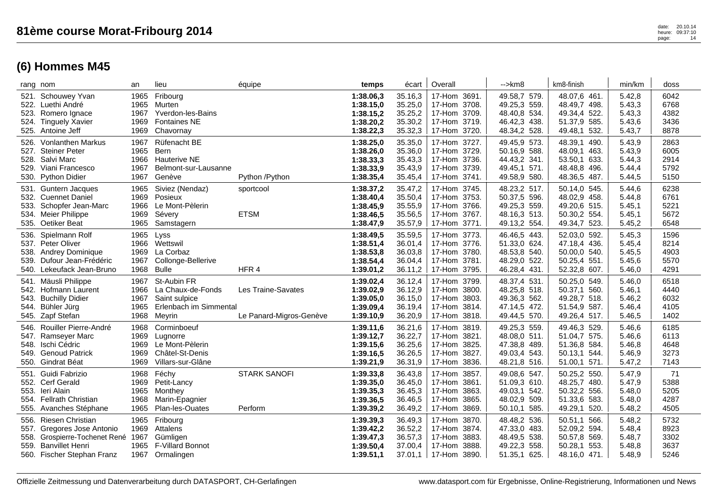|      | rang nom                                                                                                                                   | an                                   | lieu                                                                                  | équipe                                        | temps                                                         | écart                                               | Overall                                                                                  | -->km8                                                                       | km8-finish                                                                   | min/km                                         | doss                                 |
|------|--------------------------------------------------------------------------------------------------------------------------------------------|--------------------------------------|---------------------------------------------------------------------------------------|-----------------------------------------------|---------------------------------------------------------------|-----------------------------------------------------|------------------------------------------------------------------------------------------|------------------------------------------------------------------------------|------------------------------------------------------------------------------|------------------------------------------------|--------------------------------------|
|      | 521. Schouwey Yvan<br>522. Luethi André<br>523. Romero Ignace<br>524. Tinguely Xavier<br>525. Antoine Jeff                                 | 1965<br>1965<br>1967<br>1969<br>1969 | Fribourg<br>Murten<br>Yverdon-les-Bains<br><b>Fontaines NE</b><br>Chavornay           |                                               | 1:38.06,3<br>1:38.15,0<br>1:38.15,2<br>1:38.20,2<br>1:38.22,3 | 35.16,3<br>35.25,0<br>35.25,2<br>35.30,2<br>35.32,3 | 17-Hom 3691.<br>17-Hom 3708.<br>17-Hom 3709.<br>17-Hom 3719.<br>17-Hom 3720.             | 49.58,7 579.<br>49.25,3 559.<br>48.40,8 534.<br>46.42,3 438.<br>48.34,2 528. | 48.07,6 461.<br>48.49,7 498.<br>49.34,4 522.<br>51.37,9 585.<br>49.48,1 532. | 5.42,8<br>5.43,3<br>5.43,3<br>5.43,6<br>5.43,7 | 6042<br>6768<br>4382<br>3436<br>8878 |
|      | 526. Vonlanthen Markus<br>527. Steiner Peter<br>528. Salvi Marc<br>529. Viani Francesco<br>530. Python Didier                              | 1967<br>1965<br>1966<br>1967<br>1967 | Rüfenacht BE<br><b>Bern</b><br><b>Hauterive NE</b><br>Belmont-sur-Lausanne<br>Genève  | Python /Python                                | 1:38.25,0<br>1:38.26,0<br>1:38.33,3<br>1:38.33,9<br>1:38.35,4 | 35.35,0<br>35.36,0<br>35.43,3<br>35.43,9<br>35.45,4 | 17-Hom 3727.<br>17-Hom 3729.<br>17-Hom 3736.<br>17-Hom 3739.<br>17-Hom<br>3741.          | 49.45,9 573.<br>50.16,9 588.<br>44.43,2 341.<br>49.45,1 571.<br>49.58,9 580. | 48.39,1 490.<br>48.09,1 463.<br>53.50,1 633.<br>48.48,8 496.<br>48.36,5 487. | 5.43,9<br>5.43,9<br>5.44,3<br>5.44,4<br>5.44,5 | 2863<br>6005<br>2914<br>5792<br>5150 |
|      | 531. Guntern Jacques<br>532. Cuennet Daniel<br>533. Schopfer Jean-Marc<br>534. Meier Philippe<br>535. Oetiker Beat                         | 1965<br>1969<br>1966<br>1969<br>1965 | Siviez (Nendaz)<br>Posieux<br>Le Mont-Pèlerin<br>Sévery<br>Samstagern                 | sportcool<br><b>ETSM</b>                      | 1:38.37,2<br>1:38.40,4<br>1:38.45,9<br>1:38.46,5<br>1:38.47,9 | 35.47,2<br>35.50,4<br>35.55,9<br>35.56,5<br>35.57,9 | 17-Hom 3745.<br>17-Hom 3753.<br>17-Hom 3766.<br>17-Hom 3767.<br>3771.<br>17-Hom          | 48.23,2 517.<br>50.37,5 596.<br>49.25,3 559.<br>48.16,3 513.<br>49.13,2 554. | 50.14,0 545.<br>48.02,9 458.<br>49.20,6 515.<br>50.30,2 554.<br>49.34,7 523. | 5.44.6<br>5.44,8<br>5.45,1<br>5.45,1<br>5.45,2 | 6238<br>6761<br>5221<br>5672<br>6548 |
|      | 536. Spielmann Rolf<br>537. Peter Oliver<br>538. Andrey Dominique<br>539. Dufour Jean-Frédéric<br>540. Lekeufack Jean-Bruno                | 1965<br>1966<br>1969<br>1967<br>1968 | Lyss<br>Wettswil<br>La Corbaz<br>Collonge-Bellerive<br><b>Bulle</b>                   | HFR <sub>4</sub>                              | 1:38.49,5<br>1:38.51,4<br>1:38.53,8<br>1:38.54,4<br>1:39.01,2 | 35.59,5<br>36.01,4<br>36.03,8<br>36.04,4<br>36.11,2 | 17-Hom 3773.<br>17-Hom 3776.<br>17-Hom 3780.<br>17-Hom<br>3781.<br>17-Hom 3795.          | 46.46,5 443.<br>51.33,0 624.<br>48.53,8 540.<br>48.29,0 522.<br>46.28,4 431. | 52.03,0 592.<br>47.18,4 436.<br>50.00,0 540.<br>50.25,4 551.<br>52.32,8 607. | 5.45,3<br>5.45,4<br>5.45,5<br>5.45,6<br>5.46,0 | 1596<br>8214<br>4903<br>5570<br>4291 |
|      | 541. Mäusli Philippe<br>542. Hofmann Laurent<br>543. Buchilly Didier<br>544. Bühler Jürg<br>545. Zapf Stefan                               | 1967<br>1966<br>1967<br>1965<br>1968 | St-Aubin FR<br>La Chaux-de-Fonds<br>Saint sulpice<br>Erlenbach im Simmental<br>Meyrin | Les Traine-Savates<br>Le Panard-Migros-Genève | 1:39.02,4<br>1:39.02,9<br>1:39.05,0<br>1:39.09,4<br>1:39.10,9 | 36.12,4<br>36.12,9<br>36.15,0<br>36.19.4<br>36.20,9 | 3799.<br>17-Hom<br>17-Hom 3800.<br>3803.<br>17-Hom<br>17-Hom<br>3814.<br>17-Hom 3818.    | 48.37,4 531.<br>48.25,8 518.<br>49.36,3 562.<br>47.14.5 472.<br>49.44,5 570. | 50.25,0 549.<br>50.37.1 560.<br>49.28,7 518.<br>51.54,9 587.<br>49.26,4 517. | 5.46.0<br>5.46,1<br>5.46,2<br>5.46.4<br>5.46,5 | 6518<br>4440<br>6032<br>4105<br>1402 |
| 546. | Rouiller Pierre-André<br>547. Ramseyer Marc<br>548. Ischi Cédric<br>549. Genoud Patrick<br>550. Gindrat Béat                               | 1968<br>1969<br>1969<br>1969<br>1969 | Corminboeuf<br>Lugnorre<br>Le Mont-Pèlerin<br>Châtel-St-Denis<br>Villars-sur-Glâne    |                                               | 1:39.11,6<br>1:39.12,7<br>1:39.15,6<br>1:39.16,5<br>1:39.21,9 | 36.21,6<br>36.22,7<br>36.25,6<br>36.26,5<br>36.31,9 | 17-Hom<br>3819.<br>17-Hom 3821.<br>17-Hom<br>3825.<br>3827.<br>17-Hom<br>17-Hom 3836.    | 49.25,3 559.<br>48.08,0 511.<br>47.38,8 489.<br>49.03,4 543.<br>48.21,8 516. | 49.46,3 529.<br>51.04,7 575.<br>51.36,8 584.<br>50.13,1 544.<br>51.00.1 571. | 5.46,6<br>5.46,6<br>5.46,8<br>5.46,9<br>5.47,2 | 6185<br>6113<br>4648<br>3273<br>7143 |
| 551. | Guidi Fabrizio<br>552. Cerf Gerald<br>553. Ieri Alain<br>554. Fellrath Christian<br>555. Avanches Stéphane                                 | 1968<br>1969<br>1965<br>1968<br>1965 | Féchy<br>Petit-Lancy<br>Monthey<br>Marin-Epagnier<br>Plan-les-Ouates                  | <b>STARK SANOFI</b><br>Perform                | 1:39.33,8<br>1:39.35,0<br>1:39.35,3<br>1:39.36,5<br>1:39.39,2 | 36.43,8<br>36.45,0<br>36.45,3<br>36.46,5<br>36.49,2 | 17-Hom<br>3857.<br>3861.<br>17-Hom<br>17-Hom 3863.<br>3865.<br>17-Hom<br>17-Hom<br>3869. | 49.08,6 547.<br>51.09,3 610.<br>49.03,1 542.<br>48.02,9 509.<br>50.10,1 585. | 50.25,2 550.<br>48.25,7 480.<br>50.32,2 556.<br>51.33,6 583.<br>49.29,1 520. | 5.47,9<br>5.47,9<br>5.48,0<br>5.48,0<br>5.48,2 | 71<br>5388<br>5205<br>4287<br>4505   |
| 556. | Riesen Christian<br>557. Gregores Jose Antonio<br>558. Grospierre-Tochenet René 1967<br>559. Banvillet Henri<br>560. Fischer Stephan Franz | 1965<br>1969<br>1965<br>1967         | Fribourg<br>Attalens<br>Gümligen<br>F-Villard Bonnot<br>Ormalingen                    |                                               | 1:39.39,3<br>1:39.42,2<br>1:39.47,3<br>1:39.50,4<br>1:39.51,1 | 36.49,3<br>36.52,2<br>36.57,3<br>37.00.4<br>37.01,1 | 17-Hom<br>3870.<br>17-Hom<br>3874.<br>17-Hom<br>3883.<br>17-Hom<br>3888.<br>17-Hom 3890. | 48.48,2 536.<br>47.33,0 483.<br>48.49,5 538.<br>49.22.3 558.<br>51.35,1 625. | 50.51,1 566.<br>52.09,2 594.<br>50.57,8 569.<br>50.28,1 553.<br>48.16,0 471. | 5.48,2<br>5.48,4<br>5.48,7<br>5.48,8<br>5.48,9 | 5732<br>8923<br>3302<br>3637<br>5246 |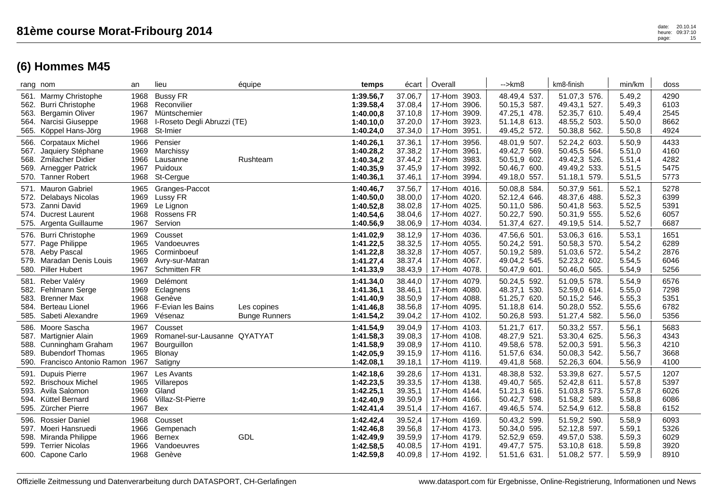|                      | rang nom                                                                                                                             | an                                   | lieu                                                                                      | équipe                              | temps                                                         | écart                                               | Overall                                                                            | $\rightarrow$ km $\beta$                                                     | km8-finish                                                                   | min/km                                         | doss                                 |
|----------------------|--------------------------------------------------------------------------------------------------------------------------------------|--------------------------------------|-------------------------------------------------------------------------------------------|-------------------------------------|---------------------------------------------------------------|-----------------------------------------------------|------------------------------------------------------------------------------------|------------------------------------------------------------------------------|------------------------------------------------------------------------------|------------------------------------------------|--------------------------------------|
| 562.<br>563.<br>565. | 561. Marmy Christophe<br><b>Burri Christophe</b><br><b>Bergamin Oliver</b><br>564. Narcisi Giuseppe<br>Köppel Hans-Jörg              | 1968<br>1968<br>1967<br>1968<br>1968 | <b>Bussy FR</b><br>Reconvilier<br>Müntschemier<br>I-Roseto Degli Abruzzi (TE)<br>St-Imier |                                     | 1:39.56,7<br>1:39.58,4<br>1:40.00,8<br>1:40.10,0<br>1:40.24,0 | 37.06,7<br>37.08,4<br>37.10,8<br>37.20,0<br>37.34,0 | 17-Hom 3903.<br>17-Hom 3906.<br>17-Hom 3909.<br>17-Hom<br>3923.<br>3951.<br>17-Hom | 48.49,4 537.<br>50.15,3 587.<br>47.25,1 478.<br>51.14,8 613.<br>49.45,2 572. | 51.07,3 576.<br>49.43,1 527.<br>52.35,7 610.<br>48.55,2 503.<br>50.38,8 562. | 5.49,2<br>5.49,3<br>5.49,4<br>5.50,0<br>5.50,8 | 4290<br>6103<br>2545<br>8662<br>4924 |
| 567.<br>568.<br>569. | 566. Corpataux Michel<br>Jaquiery Stéphane<br><b>Zmilacher Didier</b><br><b>Arnegger Patrick</b><br>570. Tanner Robert               | 1966<br>1969<br>1966<br>1967<br>1968 | Pensier<br>Marchissy<br>Lausanne<br>Puidoux<br>St-Cergue                                  | Rushteam                            | 1:40.26,1<br>1:40.28,2<br>1:40.34,2<br>1:40.35,9<br>1:40.36,1 | 37.36,1<br>37.38,2<br>37.44,2<br>37.45,9<br>37.46,1 | 17-Hom 3956.<br>17-Hom<br>3961.<br>17-Hom 3983.<br>17-Hom<br>3992.<br>17-Hom 3994. | 48.01,9 507.<br>49.42,7 569.<br>50.51,9 602.<br>50.46,7 600.<br>49.18,0 557. | 52.24,2 603.<br>50.45,5 564.<br>49.42,3 526.<br>49.49,2 533.<br>51.18,1 579. | 5.50,9<br>5.51,0<br>5.51,4<br>5.51,5<br>5.51,5 | 4433<br>4160<br>4282<br>5475<br>5773 |
| 571.<br>572.         | <b>Mauron Gabriel</b><br><b>Delabays Nicolas</b><br>573. Zanni David<br>574. Ducrest Laurent<br>575. Argenta Guillaume               | 1965<br>1969<br>1969<br>1968<br>1967 | Granges-Paccot<br>Lussy FR<br>Le Lignon<br>Rossens FR<br>Servion                          |                                     | 1:40.46,7<br>1:40.50,0<br>1:40.52,8<br>1:40.54,6<br>1:40.56,9 | 37.56,7<br>38.00,0<br>38.02,8<br>38.04,6<br>38.06,9 | 17-Hom 4016.<br>17-Hom<br>4020.<br>17-Hom 4025.<br>17-Hom 4027.<br>17-Hom<br>4034. | 50.08,8 584.<br>52.12,4 646.<br>50.11,0 586.<br>50.22,7 590.<br>51.37,4 627. | 50.37,9 561.<br>48.37,6 488.<br>50.41,8 563.<br>50.31,9 555.<br>49.19,5 514. | 5.52,1<br>5.52,3<br>5.52,5<br>5.52,6<br>5.52,7 | 5278<br>6399<br>5391<br>6057<br>6687 |
|                      | 576. Burri Christophe<br>577. Page Philippe<br>578. Aeby Pascal<br>579. Maradan Denis Louis<br>580. Piller Hubert                    | 1969<br>1965<br>1965<br>1969<br>1967 | Cousset<br>Vandoeuvres<br>Corminboeuf<br>Avry-sur-Matran<br><b>Schmitten FR</b>           |                                     | 1:41.02,9<br>1:41.22,5<br>1:41.22,8<br>1:41.27,4<br>1:41.33,9 | 38.12,9<br>38.32,5<br>38.32,8<br>38.37,4<br>38.43,9 | 17-Hom 4036.<br>17-Hom 4055.<br>17-Hom 4057.<br>17-Hom<br>4067.<br>17-Hom 4078.    | 47.56,6 501.<br>50.24,2 591.<br>50.19,2 589.<br>49.04,2 545.<br>50.47,9 601. | 53.06,3 616.<br>50.58,3 570.<br>51.03,6 572.<br>52.23,2 602.<br>50.46,0 565. | 5.53,1<br>5.54,2<br>5.54,2<br>5.54,5<br>5.54,9 | 1651<br>6289<br>2876<br>6046<br>5256 |
| 581.<br>583.<br>584. | Reber Valéry<br>582. Fehlmann Serge<br><b>Brenner Max</b><br>Berteau Lionel<br>585. Sabeti Alexandre                                 | 1969<br>1969<br>1968<br>1966<br>1969 | Delémont<br>Eclagnens<br>Genève<br>F-Evian les Bains<br>Vésenaz                           | Les copines<br><b>Bunge Runners</b> | 1:41.34,0<br>1:41.36,1<br>1:41.40,9<br>1:41.46,8<br>1:41.54,2 | 38.44,0<br>38.46,1<br>38.50,9<br>38.56,8<br>39.04,2 | 17-Hom<br>4079.<br>17-Hom 4080.<br>17-Hom 4088.<br>17-Hom<br>4095.<br>17-Hom 4102. | 50.24,5 592.<br>48.37,1 530.<br>51.25,7 620.<br>51.18,8 614.<br>50.26,8 593. | 51.09,5 578.<br>52.59,0 614.<br>50.15,2 546.<br>50.28,0 552.<br>51.27,4 582. | 5.54,9<br>5.55,0<br>5.55,3<br>5.55,6<br>5.56,0 | 6576<br>7298<br>5351<br>6782<br>5356 |
| 589.                 | 586. Moore Sascha<br>587. Martignier Alain<br>588. Cunningham Graham<br><b>Bubendorf Thomas</b><br>590. Francisco Antonio Ramon 1967 | 1967<br>1969<br>1967<br>1965         | Cousset<br>Romanel-sur-Lausanne QYATYAT<br>Bourguillon<br>Blonay<br>Satigny               |                                     | 1:41.54,9<br>1:41.58,3<br>1:41.58,9<br>1:42.05,9<br>1:42.08,1 | 39.04,9<br>39.08,3<br>39.08,9<br>39.15,9<br>39.18,1 | 17-Hom 4103.<br>17-Hom 4108.<br>17-Hom 4110.<br>17-Hom 4116.<br>17-Hom 4119.       | 51.21,7 617.<br>48.27,9 521.<br>49.58,6 578.<br>51.57,6 634.<br>49.41,8 568. | 50.33,2 557.<br>53.30,4 625.<br>52.00,3 591.<br>50.08,3 542.<br>52.26,3 604. | 5.56,1<br>5.56,3<br>5.56,3<br>5.56,7<br>5.56,9 | 5683<br>4343<br>4210<br>3668<br>4100 |
| 591.<br>594.         | <b>Dupuis Pierre</b><br>592. Brischoux Michel<br>593. Avila Salomon<br>Küttel Bernard<br>595. Zürcher Pierre                         | 1967<br>1965<br>1969<br>1966<br>1967 | Les Avants<br>Villarepos<br>Gland<br>Villaz-St-Pierre<br><b>Bex</b>                       |                                     | 1:42.18,6<br>1:42.23,5<br>1:42.25,1<br>1:42.40,9<br>1:42.41,4 | 39.28,6<br>39.33,5<br>39.35,1<br>39.50,9<br>39.51,4 | 17-Hom 4131.<br>17-Hom 4138.<br>17-Hom 4144.<br>17-Hom 4166.<br>17-Hom 4167.       | 48.38,8 532.<br>49.40,7 565.<br>51.21,3 616.<br>50.42,7 598.<br>49.46,5 574. | 53.39,8 627.<br>52.42,8 611.<br>51.03,8 573.<br>51.58,2 589.<br>52.54,9 612. | 5.57,5<br>5.57,8<br>5.57,8<br>5.58,8<br>5.58,8 | 1207<br>5397<br>6026<br>6086<br>6152 |
| 596.<br>598.<br>599. | Rossier Daniel<br>597. Moeri Hansruedi<br>Miranda Philippe<br><b>Terrier Nicolas</b><br>600. Capone Carlo                            | 1968<br>1966<br>1966<br>1966<br>1968 | Cousset<br>Gempenach<br><b>Bernex</b><br>Vandoeuvres<br>Genève                            | GDL                                 | 1:42.42,4<br>1:42.46,8<br>1:42.49,9<br>1:42.58,5<br>1:42.59,8 | 39.52,4<br>39.56,8<br>39.59,9<br>40.08.5<br>40.09,8 | 17-Hom 4169.<br>17-Hom 4173.<br>17-Hom 4179.<br>17-Hom 4191.<br>17-Hom 4192.       | 50.43,2 599.<br>50.34,0 595.<br>52.52,9 659.<br>49.47,7 575.<br>51.51,6 631. | 51.59,2 590.<br>52.12,8 597.<br>49.57,0 538.<br>53.10,8 618.<br>51.08,2 577. | 5.58,9<br>5.59,1<br>5.59,3<br>5.59,8<br>5.59,9 | 6093<br>5326<br>6029<br>3920<br>8910 |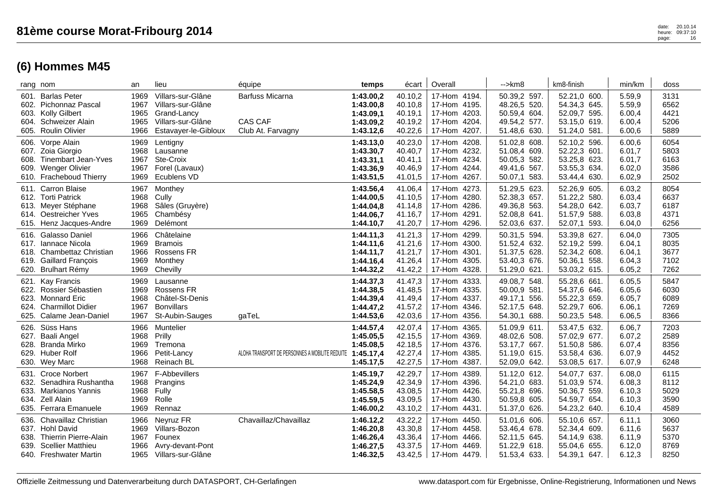| rang nom |                                                                                                                                  | an                                   | lieu                                                                                               | équipe                                                 | temps                                                         | écart                                               | Overall                                                                         | -->km8                                                                             | km8-finish                                                                   | min/km                                          | doss                                 |
|----------|----------------------------------------------------------------------------------------------------------------------------------|--------------------------------------|----------------------------------------------------------------------------------------------------|--------------------------------------------------------|---------------------------------------------------------------|-----------------------------------------------------|---------------------------------------------------------------------------------|------------------------------------------------------------------------------------|------------------------------------------------------------------------------|-------------------------------------------------|--------------------------------------|
|          | 601. Barlas Peter<br>602. Pichonnaz Pascal<br>603. Kolly Gilbert<br>604. Schweizer Alain<br>605. Roulin Olivier                  | 1969<br>1967<br>1965<br>1965<br>1966 | Villars-sur-Glâne<br>Villars-sur-Glâne<br>Grand-Lancy<br>Villars-sur-Glâne<br>Estavayer-le-Gibloux | Barfuss Micarna<br><b>CAS CAF</b><br>Club At. Farvagny | 1:43.00,2<br>1:43.00,8<br>1:43.09,1<br>1:43.09,2<br>1:43.12,6 | 40.10,2<br>40.10,8<br>40.19,1<br>40.19,2<br>40.22,6 | 17-Hom 4194.<br>17-Hom 4195.<br>17-Hom 4203.<br>17-Hom 4204.<br>17-Hom 4207.    | 50.39,2 597.<br>48.26,5 520.<br>50.59,4 604.<br>49.54,2 577.<br>51.48,6 630.       | 52.21,0 600.<br>54.34,3 645.<br>52.09,7 595.<br>53.15,0 619.<br>51.24,0 581. | 5.59,9<br>5.59,9<br>6.00,4<br>6.00,4<br>6.00,6  | 3131<br>6562<br>4421<br>5206<br>5889 |
|          | 606. Vorpe Alain<br>607. Zoia Giorgio<br>608. Tinembart Jean-Yves<br>609. Wenger Olivier<br>610. Fracheboud Thierry              | 1969<br>1968<br>1967<br>1967<br>1969 | Lentigny<br>Lausanne<br>Ste-Croix<br>Forel (Lavaux)<br>Ecublens VD                                 |                                                        | 1:43.13,0<br>1:43.30,7<br>1:43.31,1<br>1:43.36,9<br>1:43.51,5 | 40.23,0<br>40.40,7<br>40.41,1<br>40.46,9<br>41.01,5 | 17-Hom 4208.<br>17-Hom 4232.<br>17-Hom 4234.<br>17-Hom 4244.<br>17-Hom<br>4267. | 51.02,8 608.<br>51.08,4 609.<br>50.05,3 582.<br>49.41,6 567.<br>50.07,1<br>583.    | 52.10,2 596.<br>52.22,3 601.<br>53.25,8 623.<br>53.55,3 634.<br>53.44,4 630. | 6.00,6<br>6.01,7<br>6.01,7<br>6.02,0<br>6.02,9  | 6054<br>5803<br>6163<br>3586<br>2502 |
|          | 611. Carron Blaise<br>612. Torti Patrick<br>613. Meyer Stéphane<br>614. Oestreicher Yves<br>615. Henz Jacques-Andre              | 1967<br>1968<br>1968<br>1965<br>1969 | Monthey<br>Cully<br>Sâles (Gruyère)<br>Chambésy<br>Delémont                                        |                                                        | 1:43.56,4<br>1:44.00,5<br>1:44.04,8<br>1:44.06,7<br>1:44.10,7 | 41.06,4<br>41.10,5<br>41.14,8<br>41.16,7<br>41.20,7 | 17-Hom 4273.<br>17-Hom 4280.<br>17-Hom 4286.<br>17-Hom 4291.<br>17-Hom 4296.    | 51.29,5 623.<br>52.38,3 657.<br>49.36,8 563.<br>52.08,8 641.<br>52.03,6 637.       | 52.26,9 605.<br>51.22,2 580.<br>54.28,0 642.<br>51.57,9 588.<br>52.07,1 593. | 6.03,2<br>6.03,4<br>6.03,7<br>6.03,8<br>6.04,0  | 8054<br>6637<br>6187<br>4371<br>6256 |
|          | 616. Galasso Daniel<br>617. Iannace Nicola<br>618. Chambettaz Christian<br>619. Gaillard François<br>620. Brulhart Rémy          | 1966<br>1969<br>1966<br>1969<br>1969 | Châtelaine<br><b>Bramois</b><br><b>Rossens FR</b><br>Monthey<br>Chevilly                           |                                                        | 1:44.11,3<br>1:44.11.6<br>1:44.11,7<br>1:44.16,4<br>1:44.32,2 | 41.21,3<br>41.21,6<br>41.21,7<br>41.26,4<br>41.42,2 | 17-Hom 4299.<br>17-Hom 4300.<br>17-Hom 4301.<br>17-Hom<br>4305.<br>17-Hom 4328. | 50.31,5 594.<br>51.52,4 632.<br>51.37,5 628.<br>53.40,3 676.<br>51.29,0 621.       | 53.39,8 627.<br>52.19,2 599.<br>52.34,2 608.<br>50.36,1 558.<br>53.03,2 615. | 6.04,0<br>6.04,1<br>6.04,1<br>6.04,3<br>6.05,2  | 7305<br>8035<br>3677<br>7102<br>7262 |
|          | 621. Kay Francis<br>622. Rossier Sébastien<br>623. Monnard Eric<br>624. Charmillot Didier<br>625. Calame Jean-Daniel             | 1969<br>1969<br>1968<br>1967<br>1967 | Lausanne<br><b>Rossens FR</b><br>Châtel-St-Denis<br><b>Bonvillars</b><br>St-Aubin-Sauges           | gaTeL                                                  | 1:44.37,3<br>1:44.38,5<br>1:44.39,4<br>1:44.47,2<br>1:44.53,6 | 41.47,3<br>41.48,5<br>41.49,4<br>41.57,2<br>42.03,6 | 17-Hom 4333.<br>17-Hom 4335.<br>17-Hom 4337.<br>17-Hom 4346.<br>17-Hom 4356.    | 49.08,7 548.<br>50.00,9 581.<br>49.17,1<br>556.<br>52.17,5 648.<br>54.30,1<br>688. | 55.28,6 661.<br>54.37,6 646.<br>55.22,3 659.<br>52.29,7 606.<br>50.23,5 548. | 6.05, 5<br>6.05,6<br>6.05,7<br>6.06,1<br>6.06,5 | 5847<br>6030<br>6089<br>7269<br>8366 |
|          | 626. Süss Hans<br>627. Baali Angel<br>628. Branda Mirko<br>629. Huber Rolf<br>630. Wey Marc                                      | 1966<br>1968<br>1969<br>1966<br>1968 | Muntelier<br>Prilly<br>Tremona<br>Petit-Lancv<br>Reinach BL                                        | ALOHA TRANSPORT DE PERSONNES A MOBILITE REDUITE        | 1:44.57,4<br>1:45.05,5<br>1:45.08,5<br>1:45.17,4<br>1:45.17,5 | 42.07,4<br>42.15,5<br>42.18,5<br>42.27,4<br>42.27,5 | 17-Hom 4365.<br>17-Hom 4369.<br>17-Hom 4376.<br>17-Hom 4385.<br>17-Hom 4387.    | 51.09,9 611.<br>48.02,6 508.<br>53.17,7 667.<br>51.19,0 615.<br>52.09,0 642.       | 53.47,5 632.<br>57.02,9 677.<br>51.50,8 586.<br>53.58,4 636.<br>53.08,5 617. | 6.06,7<br>6.07,2<br>6.07,4<br>6.07,9<br>6.07,9  | 7203<br>2589<br>8356<br>4452<br>6248 |
|          | 631. Croce Norbert<br>632. Senadhira Rushantha<br>633. Markianos Yannis<br>634. Zell Alain<br>635. Ferrara Emanuele              | 1967<br>1968<br>1968<br>1969<br>1969 | F-Abbevillers<br>Prangins<br>Fully<br>Rolle<br>Rennaz                                              |                                                        | 1:45.19,7<br>1:45.24,9<br>1:45.58,5<br>1:45.59,5<br>1:46.00,2 | 42.29,7<br>42.34,9<br>43.08,5<br>43.09,5<br>43.10,2 | 17-Hom 4389.<br>17-Hom 4396.<br>17-Hom 4426.<br>17-Hom 4430.<br>17-Hom 4431.    | 51.12,0 612.<br>54.21,0 683.<br>55.21,8 696.<br>50.59,8 605.<br>51.37,0 626.       | 54.07,7 637.<br>51.03,9 574.<br>50.36,7 559.<br>54.59,7 654.<br>54.23,2 640. | 6.08,0<br>6.08,3<br>6.10,3<br>6.10,3<br>6.10,4  | 6115<br>8112<br>5029<br>3590<br>4589 |
| 639.     | 636. Chavaillaz Christian<br>637. Hohl David<br>638. Thierrin Pierre-Alain<br><b>Scellier Matthieu</b><br>640. Freshwater Martin | 1966<br>1969<br>1967<br>1966<br>1965 | Neyruz FR<br>Villars-Bozon<br>Founex<br>Avry-devant-Pont<br>Villars-sur-Glâne                      | Chavaillaz/Chavaillaz                                  | 1:46.12,2<br>1:46.20,8<br>1:46.26,4<br>1:46.27,5<br>1:46.32,5 | 43.22,2<br>43.30,8<br>43.36,4<br>43.37,5<br>43.42,5 | 17-Hom 4450.<br>17-Hom 4458.<br>17-Hom 4466.<br>17-Hom 4469.<br>17-Hom 4479.    | 51.01,6 606.<br>53.46,4 678.<br>52.11,5 645.<br>51.22,9<br>618.<br>51.53,4 633.    | 55.10,6 657.<br>52.34,4 609.<br>54.14,9 638.<br>55.04,6 655.<br>54.39,1 647. | 6.11,1<br>6.11,6<br>6.11,9<br>6.12,0<br>6.12,3  | 3060<br>5637<br>5370<br>8769<br>8250 |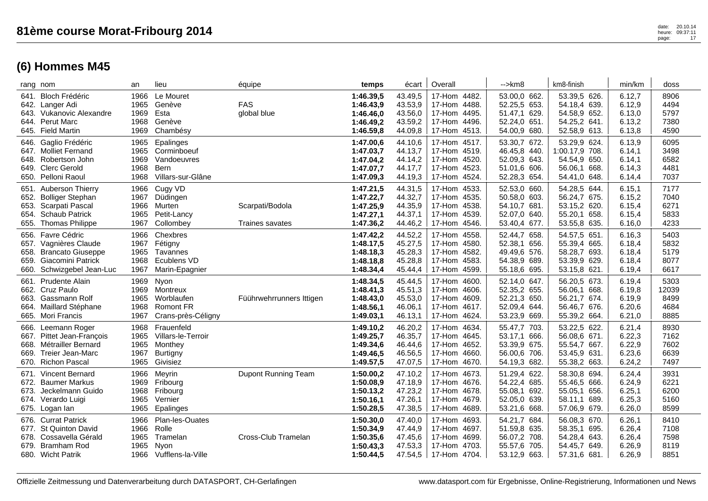| 0ffizielle Zeitmessung und Datenverarbeitung durch DATASPORT. CH-Gerlafingen |  |  |
|------------------------------------------------------------------------------|--|--|

|      | rang nom                  | an   | lieu               | équipe                   | temps     | écart   | Overall         | $\rightarrow$ km $\beta$ | km8-finish     | min/km | doss  |
|------|---------------------------|------|--------------------|--------------------------|-----------|---------|-----------------|--------------------------|----------------|--------|-------|
|      | 641. Bloch Frédéric       | 1966 | Le Mouret          |                          | 1:46.39,5 | 43.49,5 | 17-Hom 4482.    | 53.00,0 662.             | 53.39,5 626.   | 6.12,7 | 8906  |
|      | 642. Langer Adi           | 1965 | Genève             | <b>FAS</b>               | 1:46.43,9 | 43.53,9 | 17-Hom<br>4488. | 52.25,5 653.             | 54.18,4 639.   | 6.12,9 | 4494  |
|      | 643. Vukanovic Alexandre  | 1969 | Esta               | global blue              | 1:46.46,0 | 43.56,0 | 17-Hom<br>4495. | 51.47,1 629.             | 54.58,9 652.   | 6.13,0 | 5797  |
|      | 644. Perut Marc           | 1968 | Genève             |                          | 1:46.49,2 | 43.59,2 | 17-Hom<br>4496. | 52.24,0 651.             | 54.25,2 641.   | 6.13,2 | 7380  |
|      | 645. Field Martin         | 1969 | Chambésy           |                          | 1:46.59,8 | 44.09,8 | 17-Hom<br>4513. | 54.00,9 680.             | 52.58,9 613.   | 6.13,8 | 4590  |
|      | 646. Gaglio Frédéric      | 1965 | Epalinges          |                          | 1:47.00,6 | 44.10,6 | 17-Hom 4517.    | 53.30,7 672.             | 53.29,9 624.   | 6.13,9 | 6095  |
|      | 647. Molliet Fernand      | 1965 | Corminboeuf        |                          | 1:47.03,7 | 44.13,7 | 17-Hom<br>4519. | 46.45,8 440.             | 1:00.17,9 708. | 6.14,1 | 3498  |
|      | 648. Robertson John       | 1969 | Vandoeuvres        |                          | 1:47.04,2 | 44.14,2 | 17-Hom<br>4520. | 52.09,3 643.             | 54.54,9 650.   | 6.14,1 | 6582  |
|      | 649. Clerc Gerold         | 1968 | <b>Bern</b>        |                          | 1:47.07,7 | 44.17,7 | 17-Hom<br>4523. | 51.01,6 606.             | 56.06,1 668.   | 6.14,3 | 4481  |
|      | 650. Pelloni Raoul        | 1968 | Villars-sur-Glâne  |                          | 1:47.09,3 | 44.19,3 | 4524.<br>17-Hom | 52.28,3 654.             | 54.41,0 648.   | 6.14,4 | 7037  |
|      | 651. Auberson Thierry     | 1966 | Cugy VD            |                          | 1:47.21,5 | 44.31,5 | 17-Hom 4533.    | 52.53,0 660.             | 54.28,5 644.   | 6.15,1 | 7177  |
| 652. | <b>Bolliger Stephan</b>   | 1967 | Düdingen           |                          | 1:47.22,7 | 44.32,7 | 17-Hom<br>4535. | 50.58,0 603.             | 56.24,7 675.   | 6.15,2 | 7040  |
|      | 653. Scarpati Pascal      | 1966 | Murten             | Scarpati/Bodola          | 1:47.25,9 | 44.35,9 | 17-Hom<br>4538. | 54.10,7 681.             | 53.15,2 620.   | 6.15,4 | 6271  |
|      | 654. Schaub Patrick       | 1965 | Petit-Lancy        |                          | 1:47.27,1 | 44.37,1 | 17-Hom<br>4539. | 52.07,0 640.             | 55.20,1 658.   | 6.15,4 | 5833  |
| 655. | <b>Thomas Philippe</b>    | 1967 | Collombey          | Traines savates          | 1:47.36,2 | 44.46,2 | 4546.<br>17-Hom | 53.40,4 677.             | 53.55,8 635.   | 6.16,0 | 4233  |
|      | 656. Favre Cédric         | 1966 | Chexbres           |                          | 1:47.42,2 | 44.52,2 | 17-Hom<br>4558. | 52.44,7 658.             | 54.57,5 651.   | 6.16,3 | 5403  |
| 657. | Vagnières Claude          | 1967 | Fétigny            |                          | 1:48.17,5 | 45.27,5 | 17-Hom<br>4580. | 52.38,1 656.             | 55.39,4 665.   | 6.18,4 | 5832  |
|      | 658. Brancato Giuseppe    | 1965 | Tavannes           |                          | 1:48.18,3 | 45.28,3 | 17-Hom<br>4582. | 49.49,6 576.             | 58.28,7 693.   | 6.18,4 | 5179  |
| 659. | Giacomini Patrick         | 1968 | Ecublens VD        |                          | 1:48.18,8 | 45.28,8 | 17-Hom<br>4583. | 54.38,9 689.             | 53.39,9 629.   | 6.18,4 | 8077  |
| 660. | Schwizgebel Jean-Luc      | 1967 | Marin-Epagnier     |                          | 1:48.34,4 | 45.44,4 | 4599.<br>17-Hom | 55.18,6 695.             | 53.15,8 621.   | 6.19,4 | 6617  |
|      | 661. Prudente Alain       | 1969 | Nyon               |                          | 1:48.34,5 | 45.44,5 | 17-Hom<br>4600. | 52.14,0 647.             | 56.20,5 673.   | 6.19,4 | 5303  |
|      | 662. Cruz Paulo           | 1969 | Montreux           |                          | 1:48.41,3 | 45.51,3 | 17-Hom<br>4606. | 52.35,2 655.             | 56.06,1 668.   | 6.19,8 | 12039 |
|      | 663. Gassmann Rolf        | 1965 | Worblaufen         | Füührwehrrunners Ittigen | 1:48.43,0 | 45.53,0 | 17-Hom<br>4609. | 52.21,3 650.             | 56.21,7 674.   | 6.19,9 | 8499  |
|      | 664. Maillard Stéphane    | 1968 | <b>Romont FR</b>   |                          | 1:48.56,1 | 46.06,1 | 4617.<br>17-Hom | 52.09,4 644.             | 56.46,7 676.   | 6.20,6 | 4684  |
|      | 665. Mori Francis         | 1967 | Crans-près-Céligny |                          | 1:49.03,1 | 46.13,1 | 17-Hom<br>4624. | 53.23,9 669.             | 55.39,2 664.   | 6.21,0 | 8885  |
|      | 666. Leemann Roger        | 1968 | Frauenfeld         |                          | 1:49.10,2 | 46.20,2 | 17-Hom<br>4634. | 55.47,7 703.             | 53.22,5 622.   | 6.21,4 | 8930  |
|      | 667. Pittet Jean-François | 1965 | Villars-le-Terroir |                          | 1:49.25,7 | 46.35,7 | 17-Hom<br>4645. | 53.17,1 666.             | 56.08,6 671.   | 6.22,3 | 7162  |
|      | 668. Métrailler Bernard   | 1965 | Monthey            |                          | 1:49.34,6 | 46.44.6 | 17-Hom<br>4652. | 53.39,9 675.             | 55.54,7 667.   | 6.22,9 | 7602  |
| 669. | Treier Jean-Marc          | 1967 | Burtigny           |                          | 1:49.46,5 | 46.56,5 | 17-Hom<br>4660. | 56.00,6 706.             | 53.45,9 631.   | 6.23,6 | 6639  |
|      | 670. Richon Pascal        | 1965 | Givisiez           |                          | 1:49.57,5 | 47.07,5 | 17-Hom<br>4670. | 54.19,3 682.             | 55.38,2 663.   | 6.24,2 | 7497  |
|      | 671. Vincent Bernard      | 1966 | Meyrin             | Dupont Running Team      | 1:50.00,2 | 47.10,2 | 17-Hom<br>4673. | 51.29,4 622.             | 58.30,8 694.   | 6.24,4 | 3931  |
|      | 672. Baumer Markus        | 1969 | Fribourg           |                          | 1:50.08,9 | 47.18,9 | 17-Hom<br>4676. | 54.22,4 685.             | 55.46,5 666.   | 6.24,9 | 6221  |
| 673. | Jeckelmann Guido          | 1968 | Fribourg           |                          | 1:50.13,2 | 47.23,2 | 17-Hom<br>4678. | 55.08,1 692.             | 55.05,1 656.   | 6.25,1 | 6200  |
|      | 674. Verardo Luigi        | 1965 | Vernier            |                          | 1:50.16,1 | 47.26,1 | 17-Hom<br>4679. | 52.05,0 639.             | 58.11,1 689.   | 6.25,3 | 5160  |
|      | 675. Logan lan            | 1965 | Epalinges          |                          | 1:50.28,5 | 47.38,5 | 17-Hom<br>4689. | 53.21,6 668.             | 57.06,9 679.   | 6.26,0 | 8599  |
|      | 676. Currat Patrick       | 1966 | Plan-les-Ouates    |                          | 1:50.30,0 | 47.40,0 | 17-Hom<br>4693. | 54.21,7 684.             | 56.08,3 670.   | 6.26,1 | 8410  |
|      | 677. St Quinton David     | 1966 | Rolle              |                          | 1:50.34,9 | 47.44,9 | 4697.<br>17-Hom | 51.59,8 635.             | 58.35,1 695.   | 6.26,4 | 7108  |
|      | 678. Cossavella Gérald    | 1965 | Tramelan           | Cross-Club Tramelan      | 1:50.35,6 | 47.45,6 | 4699.<br>17-Hom | 56.07,2 708.             | 54.28,4 643.   | 6.26,4 | 7598  |
| 679. | <b>Bramham Rod</b>        | 1965 | Nyon               |                          | 1:50.43,3 | 47.53,3 | 17-Hom<br>4703. | 55.57,6 705.             | 54.45,7 649.   | 6.26,9 | 8119  |
|      | 680. Wicht Patrik         | 1966 | Vufflens-la-Ville  |                          | 1:50.44,5 | 47.54,5 | 17-Hom 4704.    | 53.12,9 663.             | 57.31,6 681.   | 6.26,9 | 8851  |
|      |                           |      |                    |                          |           |         |                 |                          |                |        |       |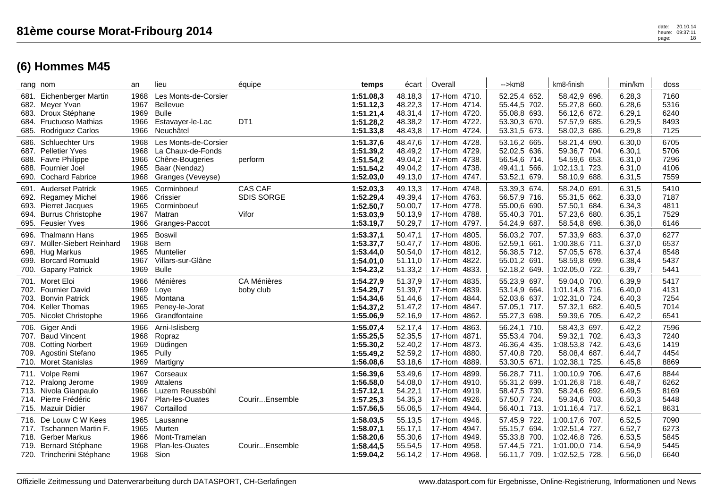| rang nom                                                                                                                                                       | an                                   | lieu                                                                                               | équipe                                       | temps                                                         | écart                                               | Overall                                                                                     | $\rightarrow$ km $\beta$                                                     | km8-finish                                                                             | min/km                                         | doss                                 |
|----------------------------------------------------------------------------------------------------------------------------------------------------------------|--------------------------------------|----------------------------------------------------------------------------------------------------|----------------------------------------------|---------------------------------------------------------------|-----------------------------------------------------|---------------------------------------------------------------------------------------------|------------------------------------------------------------------------------|----------------------------------------------------------------------------------------|------------------------------------------------|--------------------------------------|
| Eichenberger Martin<br>681.<br>Meyer Yvan<br>682.<br>Droux Stéphane<br>683.<br><b>Fructuoso Mathias</b><br>684.<br>685.<br>Rodriguez Carlos                    | 1968<br>1967<br>1969<br>1966<br>1966 | Les Monts-de-Corsier<br><b>Bellevue</b><br><b>Bulle</b><br>Estavayer-le-Lac<br>Neuchâtel           | DT <sub>1</sub>                              | 1:51.08,3<br>1:51.12,3<br>1:51.21,4<br>1:51.28,2<br>1:51.33,8 | 48.18.3<br>48.22,3<br>48.31,4<br>48.38,2<br>48.43,8 | 17-Hom 4710.<br>17-Hom 4714.<br>17-Hom 4720.<br>17-Hom 4722.<br>17-Hom 4724.                | 52.25,4 652.<br>55.44,5 702.<br>55.08,8 693.<br>53.30,3 670.<br>53.31,5 673. | 58.42,9 696.<br>55.27,8 660.<br>56.12,6 672.<br>57.57,9<br>685.<br>58.02,3<br>686.     | 6.28.3<br>6.28,6<br>6.29,1<br>6.29,5<br>6.29,8 | 7160<br>5316<br>6240<br>8493<br>7125 |
| <b>Schluechter Urs</b><br>686.<br><b>Pelletier Yves</b><br>687.<br><b>Favre Philippe</b><br>688.<br>Fournier Joel<br>688.<br><b>Cochard Fabrice</b><br>690.    | 1968<br>1968<br>1966<br>1965<br>1968 | Les Monts-de-Corsier<br>La Chaux-de-Fonds<br>Chêne-Bougeries<br>Baar (Nendaz)<br>Granges (Veveyse) | perform                                      | 1:51.37,6<br>1:51.39,2<br>1:51.54,2<br>1:51.54,2<br>1:52.03,0 | 48.47,6<br>48.49,2<br>49.04,2<br>49.04,2<br>49.13,0 | 17-Hom 4728.<br>17-Hom 4729.<br>17-Hom 4738.<br>17-Hom 4738.<br>17-Hom 4747.                | 53.16,2 665.<br>52.02,5 636.<br>56.54,6 714.<br>49.41,1 566.<br>53.52,1 679. | 58.21,4 690.<br>59.36,7 704.<br>54.59,6 653.<br>1:02.13,1 723.<br>58.10,9 688.         | 6.30,0<br>6.30,1<br>6.31,0<br>6.31,0<br>6.31,5 | 6705<br>5706<br>7296<br>4106<br>7559 |
| <b>Auderset Patrick</b><br>691.<br><b>Regamey Michel</b><br>692.<br>Pierret Jacques<br>693.<br><b>Burrus Christophe</b><br>694.<br><b>Feusier Yves</b><br>695. | 1965<br>1966<br>1965<br>1967<br>1966 | Corminboeuf<br>Crissier<br>Corminboeuf<br>Matran<br>Granges-Paccot                                 | <b>CAS CAF</b><br><b>SDIS SORGE</b><br>Vifor | 1:52.03,3<br>1:52.29,4<br>1:52.50,7<br>1:53.03,9<br>1:53.19,7 | 49.13,3<br>49.39,4<br>50.00,7<br>50.13,9<br>50.29,7 | 17-Hom 4748.<br>17-Hom 4763.<br>17-Hom 4778.<br>17-Hom 4788.<br>17-Hom<br>4797.             | 53.39,3 674.<br>56.57,9 716.<br>55.00,6 690.<br>55.40,3 701.<br>54.24,9 687. | 58.24,0 691.<br>55.31,5 662.<br>57.50,1 684.<br>57.23,6 680.<br>58.54,8 698.           | 6.31,5<br>6.33,0<br>6.34,3<br>6.35,1<br>6.36,0 | 5410<br>7187<br>4811<br>7529<br>6146 |
| <b>Thalmann Hans</b><br>696.<br>697. Müller-Siebert Reinhard<br>Hug Markus<br>698.<br><b>Borcard Romuald</b><br>699.<br>700. Gapany Patrick                    | 1965<br>1968<br>1965<br>1967<br>1969 | <b>Boswil</b><br><b>Bern</b><br>Muntelier<br>Villars-sur-Glâne<br><b>Bulle</b>                     |                                              | 1:53.37,1<br>1:53.37,7<br>1:53.44,0<br>1:54.01,0<br>1:54.23,2 | 50.47,1<br>50.47.7<br>50.54,0<br>51.11,0<br>51.33,2 | 17-Hom<br>4805.<br>17-Hom<br>4806.<br>17-Hom 4812.<br>17-Hom<br>4822.<br>4833.<br>17-Hom    | 56.03,2 707.<br>52.59,1 661.<br>56.38,5 712.<br>55.01,2 691.<br>52.18,2 649. | 57.33,9 683.<br>1:00.38,6 711.<br>57.05,5 678.<br>58.59,8<br>699.<br>1:02.05,0 722.    | 6.37,0<br>6.37,0<br>6.37,4<br>6.38,4<br>6.39,7 | 6277<br>6537<br>8548<br>5437<br>5441 |
| Moret Eloi<br>701.<br>702. Fournier David<br>703. Bonvin Patrick<br><b>Keller Thomas</b><br>704.<br>705. Nicolet Christophe                                    | 1966<br>1969<br>1965<br>1965<br>1966 | Ménières<br>Loye<br>Montana<br>Peney-le-Jorat<br>Grandfontaine                                     | <b>CA Ménières</b><br>boby club              | 1:54.27,9<br>1:54.29,7<br>1:54.34,6<br>1:54.37,2<br>1:55.06,9 | 51.37,9<br>51.39,7<br>51.44,6<br>51.47,2<br>52.16,9 | 17-Hom<br>4835.<br>17-Hom<br>4839.<br>17-Hom<br>4844.<br>17-Hom<br>4847.<br>4862.<br>17-Hom | 55.23,9 697.<br>53.14,9 664.<br>52.03,6 637.<br>57.05.1 717.<br>55.27,3 698. | 59.04,0 700.<br>1:01.14,8 716.<br>1:02.31,0 724.<br>57.32,1<br>682.<br>59.39,6 705.    | 6.39,9<br>6.40,0<br>6.40,3<br>6.40,5<br>6.42,2 | 5417<br>4131<br>7254<br>7014<br>6541 |
| Giger Andi<br>706.<br>707. Baud Vincent<br>708. Cotting Norbert<br>Agostini Stefano<br>709.<br>710. Moret Stanislas                                            | 1966<br>1968<br>1969<br>1965<br>1969 | Arni-Islisberg<br>Ropraz<br>Düdingen<br>Pully<br>Martigny                                          |                                              | 1:55.07,4<br>1:55.25,5<br>1:55.30,2<br>1:55.49,2<br>1:56.08,6 | 52.17,4<br>52.35,5<br>52.40,2<br>52.59,2<br>53.18,6 | 17-Hom<br>4863.<br>17-Hom 4871.<br>17-Hom<br>4873.<br>17-Hom<br>4880.<br>17-Hom<br>4889.    | 56.24,1 710.<br>55.53,4 704.<br>46.36,4 435.<br>57.40,8 720.<br>53.30,5 671. | 58.43,3 697.<br>59.32,1 702.<br>1:08.53,8 742.<br>58.08,4<br>687.<br>1:02.38,1 725.    | 6.42,2<br>6.43,3<br>6.43,6<br>6.44,7<br>6.45,8 | 7596<br>7240<br>1419<br>4454<br>8869 |
| Volpe Remi<br>711.<br>712. Pralong Jerome<br>713. Nivola Gianpaulo<br>Pierre Frédéric<br>714.<br>715. Mazuir Didier                                            | 1967<br>1969<br>1966<br>1967<br>1967 | Corseaux<br>Attalens<br>Luzern Reussbühl<br>Plan-les-Ouates<br>Cortaillod                          | CourirEnsemble                               | 1:56.39,6<br>1:56.58,0<br>1:57.12,1<br>1:57.25,3<br>1:57.56,5 | 53.49,6<br>54.08,0<br>54.22,1<br>54.35,3<br>55.06,5 | 17-Hom<br>4899.<br>17-Hom<br>4910.<br>17-Hom 4919.<br>17-Hom<br>4926.<br>4944.<br>17-Hom    | 56.28,7 711.<br>55.31,2 699.<br>58.47,5 730.<br>57.50,7 724.<br>56.40,1 713. | 1:00.10,9 706.<br>1:01.26,8 718.<br>58.24,6 692.<br>59.34,6 703.<br>1:01.16,4 717.     | 6.47,6<br>6.48,7<br>6.49,5<br>6.50,3<br>6.52,1 | 8844<br>6262<br>8169<br>5448<br>8631 |
| De Louw C W Kees<br>716.<br>717. Tschannen Martin F.<br><b>Gerber Markus</b><br>718.<br><b>Bernard Stéphane</b><br>719.<br>720. Trincherini Stéphane           | 1965<br>1965<br>1966<br>1968<br>1968 | Lausanne<br>Murten<br>Mont-Tramelan<br>Plan-les-Ouates<br>Sion                                     | CourirEnsemble                               | 1:58.03,5<br>1:58.07,1<br>1:58.20,6<br>1:58.44,5<br>1:59.04,2 | 55.13,5<br>55.17,1<br>55.30,6<br>55.54,5<br>56.14,2 | 17-Hom<br>4946.<br>4947.<br>17-Hom<br>17-Hom<br>4949.<br>17-Hom<br>4958.<br>17-Hom 4968.    | 57.45,9 722.<br>55.15,7 694.<br>55.33,8 700.<br>57.44,5 721.<br>56.11,7 709. | 1:00.17,6 707.<br>1:02.51,4 727.<br>1:02.46,8 726.<br>1:01.00.0 714.<br>1:02.52,5 728. | 6.52,5<br>6.52,7<br>6.53,5<br>6.54,9<br>6.56,0 | 7090<br>6273<br>5845<br>5445<br>6640 |